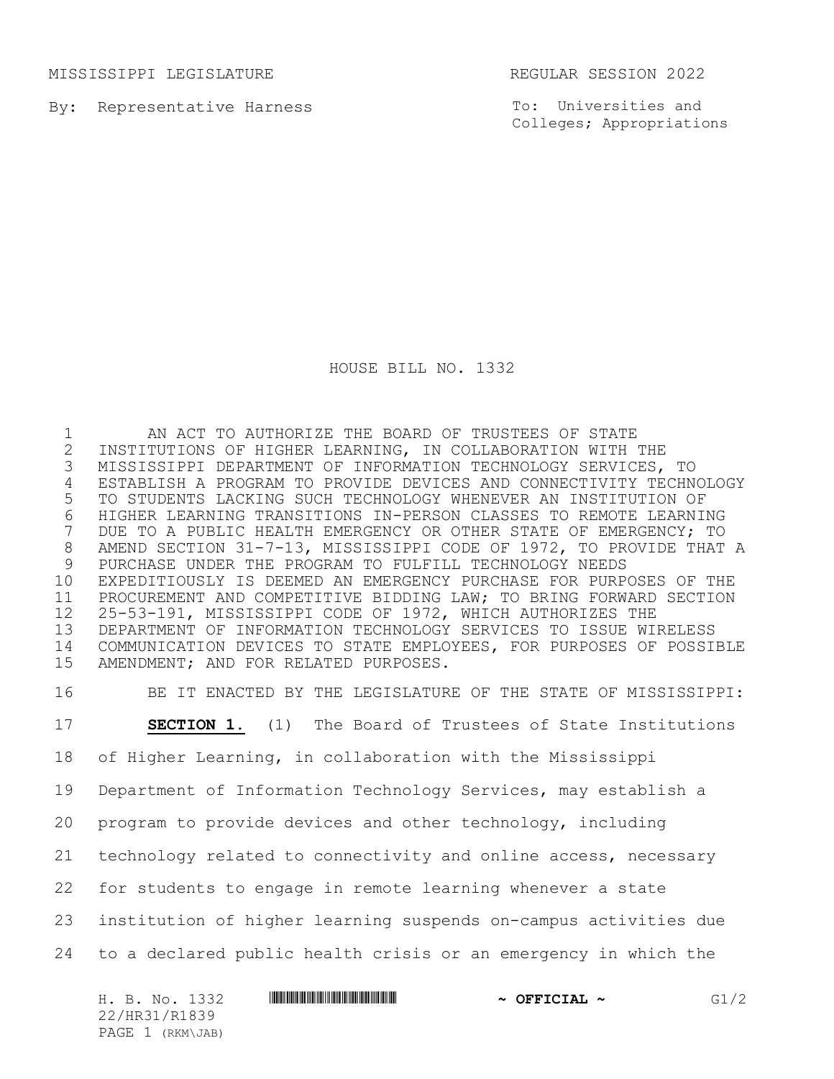MISSISSIPPI LEGISLATURE REGULAR SESSION 2022

By: Representative Harness

To: Universities and Colleges; Appropriations

HOUSE BILL NO. 1332

 AN ACT TO AUTHORIZE THE BOARD OF TRUSTEES OF STATE 2 INSTITUTIONS OF HIGHER LEARNING, IN COLLABORATION WITH THE<br>3 MISSISSIPPI DEPARTMENT OF INFORMATION TECHNOLOGY SERVICES, MISSISSIPPI DEPARTMENT OF INFORMATION TECHNOLOGY SERVICES, TO ESTABLISH A PROGRAM TO PROVIDE DEVICES AND CONNECTIVITY TECHNOLOGY TO STUDENTS LACKING SUCH TECHNOLOGY WHENEVER AN INSTITUTION OF 6 HIGHER LEARNING TRANSITIONS IN-PERSON CLASSES TO REMOTE LEARNING<br>7 DUE TO A PUBLIC HEALTH EMERGENCY OR OTHER STATE OF EMERGENCY; TO DUE TO A PUBLIC HEALTH EMERGENCY OR OTHER STATE OF EMERGENCY; TO AMEND SECTION 31-7-13, MISSISSIPPI CODE OF 1972, TO PROVIDE THAT A PURCHASE UNDER THE PROGRAM TO FULFILL TECHNOLOGY NEEDS EXPEDITIOUSLY IS DEEMED AN EMERGENCY PURCHASE FOR PURPOSES OF THE PROCUREMENT AND COMPETITIVE BIDDING LAW; TO BRING FORWARD SECTION 25-53-191, MISSISSIPPI CODE OF 1972, WHICH AUTHORIZES THE DEPARTMENT OF INFORMATION TECHNOLOGY SERVICES TO ISSUE WIRELESS COMMUNICATION DEVICES TO STATE EMPLOYEES, FOR PURPOSES OF POSSIBLE AMENDMENT; AND FOR RELATED PURPOSES.

 BE IT ENACTED BY THE LEGISLATURE OF THE STATE OF MISSISSIPPI: **SECTION 1.** (1) The Board of Trustees of State Institutions of Higher Learning, in collaboration with the Mississippi Department of Information Technology Services, may establish a program to provide devices and other technology, including technology related to connectivity and online access, necessary for students to engage in remote learning whenever a state institution of higher learning suspends on-campus activities due to a declared public health crisis or an emergency in which the

| H. B. No. 1332   | $\sim$ OFFICIAL $\sim$ | G1/2 |
|------------------|------------------------|------|
| 22/HR31/R1839    |                        |      |
| PAGE 1 (RKM\JAB) |                        |      |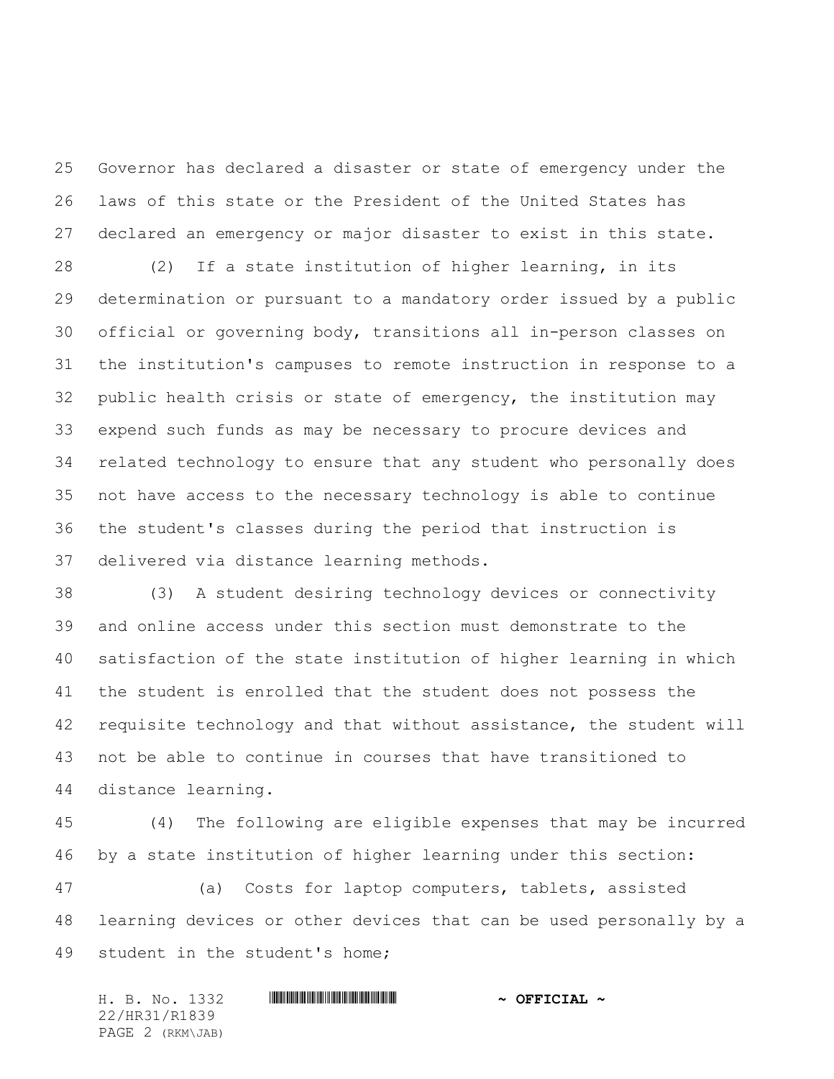Governor has declared a disaster or state of emergency under the laws of this state or the President of the United States has declared an emergency or major disaster to exist in this state.

 (2) If a state institution of higher learning, in its determination or pursuant to a mandatory order issued by a public official or governing body, transitions all in-person classes on the institution's campuses to remote instruction in response to a public health crisis or state of emergency, the institution may expend such funds as may be necessary to procure devices and related technology to ensure that any student who personally does not have access to the necessary technology is able to continue the student's classes during the period that instruction is delivered via distance learning methods.

 (3) A student desiring technology devices or connectivity and online access under this section must demonstrate to the satisfaction of the state institution of higher learning in which the student is enrolled that the student does not possess the requisite technology and that without assistance, the student will not be able to continue in courses that have transitioned to distance learning.

 (4) The following are eligible expenses that may be incurred by a state institution of higher learning under this section:

 (a) Costs for laptop computers, tablets, assisted learning devices or other devices that can be used personally by a student in the student's home;

| H. B. No. 1332   | $\sim$ OFFICIAL $\sim$ |
|------------------|------------------------|
| 22/HR31/R1839    |                        |
| PAGE 2 (RKM\JAB) |                        |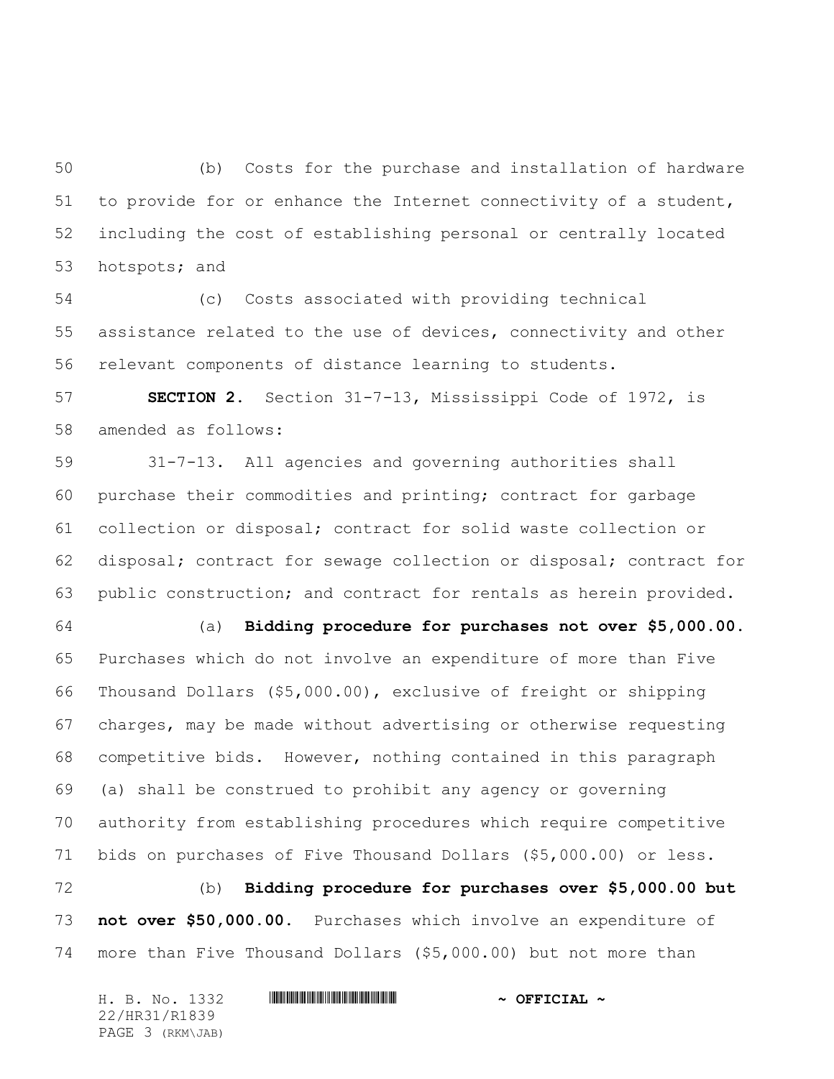(b) Costs for the purchase and installation of hardware to provide for or enhance the Internet connectivity of a student, including the cost of establishing personal or centrally located hotspots; and

 (c) Costs associated with providing technical assistance related to the use of devices, connectivity and other relevant components of distance learning to students.

 **SECTION 2.** Section 31-7-13, Mississippi Code of 1972, is amended as follows:

 31-7-13. All agencies and governing authorities shall purchase their commodities and printing; contract for garbage collection or disposal; contract for solid waste collection or disposal; contract for sewage collection or disposal; contract for public construction; and contract for rentals as herein provided.

 (a) **Bidding procedure for purchases not over \$5,000.00.** Purchases which do not involve an expenditure of more than Five Thousand Dollars (\$5,000.00), exclusive of freight or shipping charges, may be made without advertising or otherwise requesting competitive bids. However, nothing contained in this paragraph (a) shall be construed to prohibit any agency or governing authority from establishing procedures which require competitive bids on purchases of Five Thousand Dollars (\$5,000.00) or less.

 (b) **Bidding procedure for purchases over \$5,000.00 but not over \$50,000.00.** Purchases which involve an expenditure of more than Five Thousand Dollars (\$5,000.00) but not more than

| H. B. No. 1332   | $\sim$ OFFICIAL $\sim$ |
|------------------|------------------------|
| 22/HR31/R1839    |                        |
| PAGE 3 (RKM\JAB) |                        |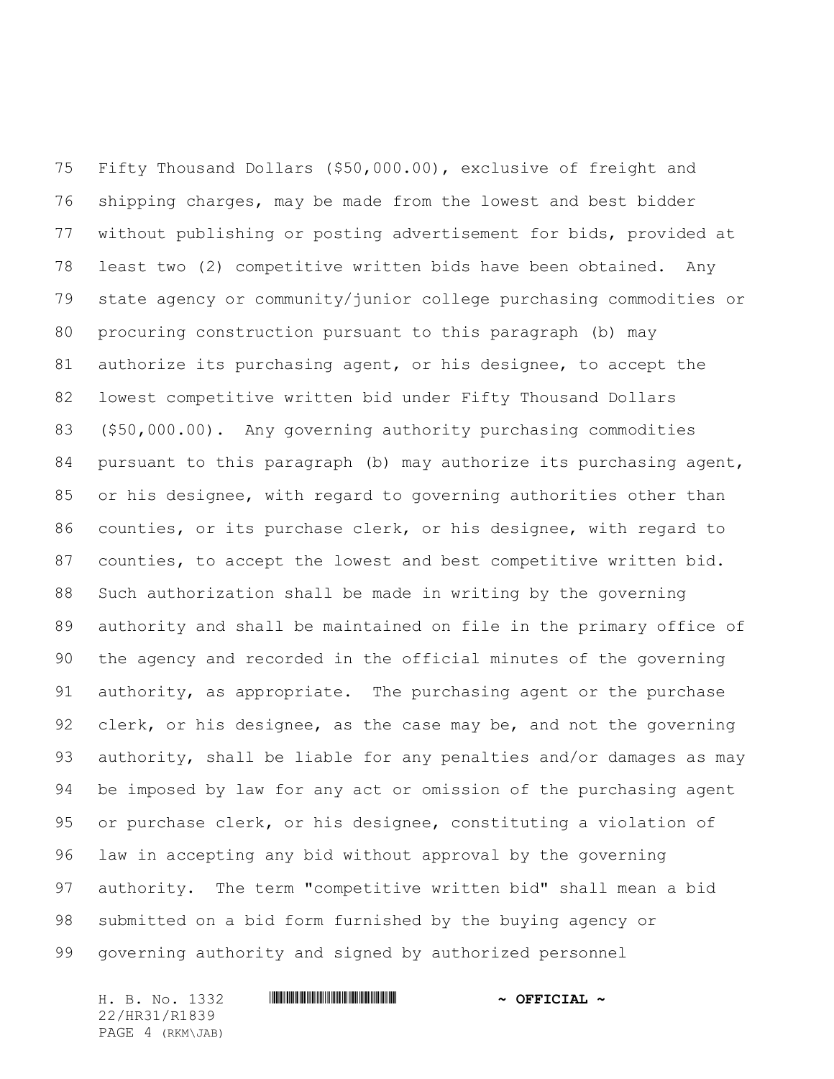Fifty Thousand Dollars (\$50,000.00), exclusive of freight and shipping charges, may be made from the lowest and best bidder without publishing or posting advertisement for bids, provided at least two (2) competitive written bids have been obtained. Any state agency or community/junior college purchasing commodities or procuring construction pursuant to this paragraph (b) may authorize its purchasing agent, or his designee, to accept the lowest competitive written bid under Fifty Thousand Dollars (\$50,000.00). Any governing authority purchasing commodities pursuant to this paragraph (b) may authorize its purchasing agent, or his designee, with regard to governing authorities other than counties, or its purchase clerk, or his designee, with regard to counties, to accept the lowest and best competitive written bid. Such authorization shall be made in writing by the governing authority and shall be maintained on file in the primary office of the agency and recorded in the official minutes of the governing authority, as appropriate. The purchasing agent or the purchase clerk, or his designee, as the case may be, and not the governing authority, shall be liable for any penalties and/or damages as may be imposed by law for any act or omission of the purchasing agent or purchase clerk, or his designee, constituting a violation of law in accepting any bid without approval by the governing authority. The term "competitive written bid" shall mean a bid submitted on a bid form furnished by the buying agency or governing authority and signed by authorized personnel

22/HR31/R1839 PAGE 4 (RKM\JAB)

### H. B. No. 1332 \*HR31/R1839\* **~ OFFICIAL ~**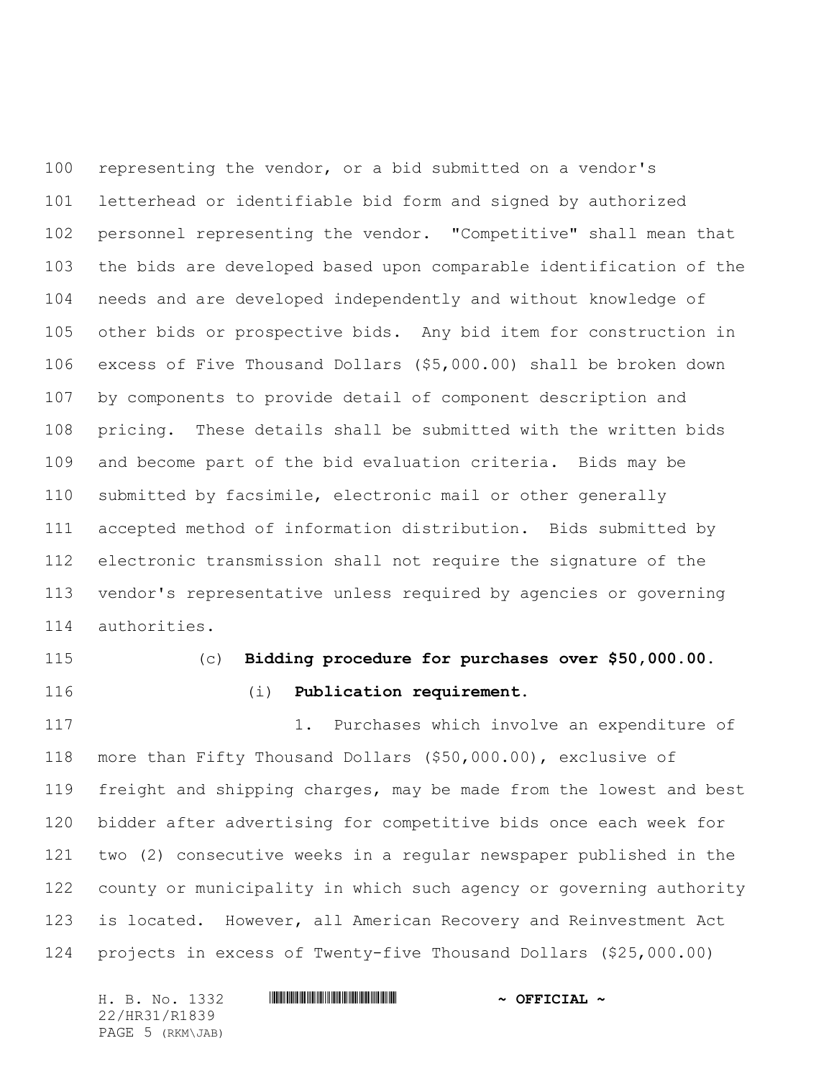representing the vendor, or a bid submitted on a vendor's letterhead or identifiable bid form and signed by authorized personnel representing the vendor. "Competitive" shall mean that the bids are developed based upon comparable identification of the needs and are developed independently and without knowledge of other bids or prospective bids. Any bid item for construction in excess of Five Thousand Dollars (\$5,000.00) shall be broken down by components to provide detail of component description and pricing. These details shall be submitted with the written bids and become part of the bid evaluation criteria. Bids may be submitted by facsimile, electronic mail or other generally accepted method of information distribution. Bids submitted by electronic transmission shall not require the signature of the vendor's representative unless required by agencies or governing authorities.

- 
- 

# (c) **Bidding procedure for purchases over \$50,000.00.** (i) **Publication requirement.**

 1. Purchases which involve an expenditure of more than Fifty Thousand Dollars (\$50,000.00), exclusive of freight and shipping charges, may be made from the lowest and best bidder after advertising for competitive bids once each week for two (2) consecutive weeks in a regular newspaper published in the county or municipality in which such agency or governing authority is located. However, all American Recovery and Reinvestment Act projects in excess of Twenty-five Thousand Dollars (\$25,000.00)

| H. B. No. 1332   | $\sim$ OFFICIAL $\sim$ |
|------------------|------------------------|
| 22/HR31/R1839    |                        |
| PAGE 5 (RKM\JAB) |                        |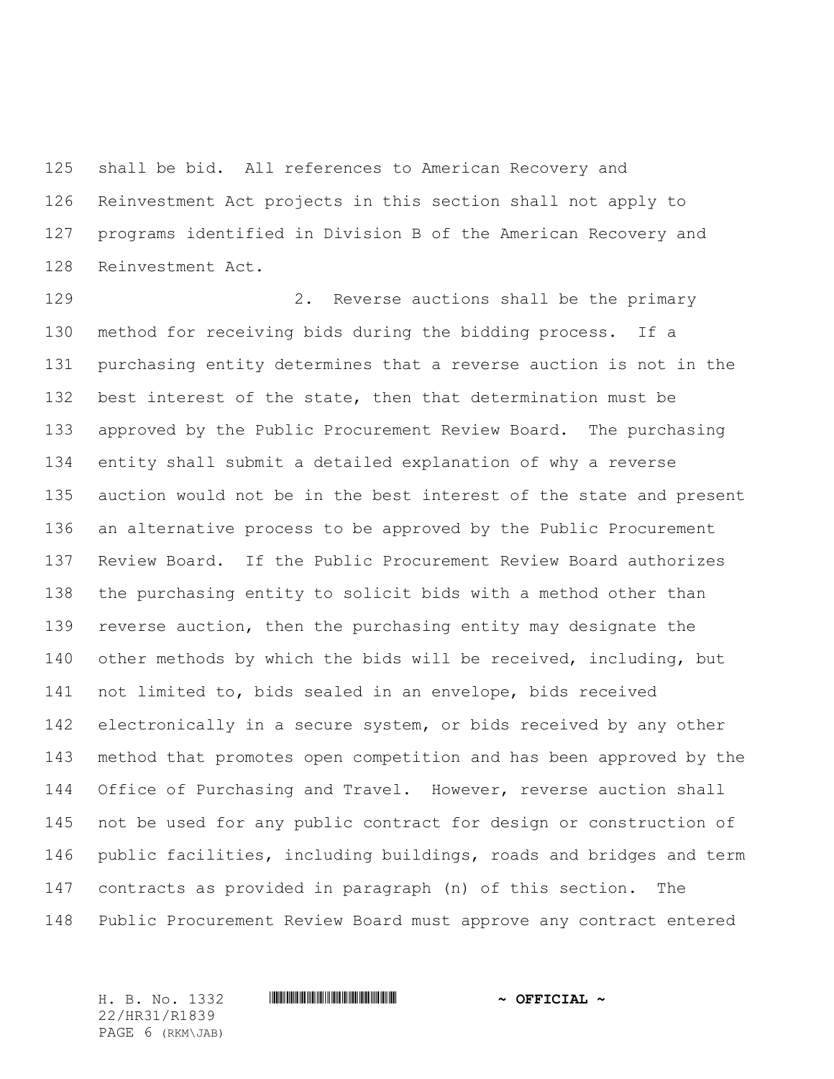shall be bid. All references to American Recovery and Reinvestment Act projects in this section shall not apply to programs identified in Division B of the American Recovery and Reinvestment Act.

129 2. Reverse auctions shall be the primary method for receiving bids during the bidding process. If a purchasing entity determines that a reverse auction is not in the best interest of the state, then that determination must be approved by the Public Procurement Review Board. The purchasing entity shall submit a detailed explanation of why a reverse auction would not be in the best interest of the state and present an alternative process to be approved by the Public Procurement Review Board. If the Public Procurement Review Board authorizes the purchasing entity to solicit bids with a method other than reverse auction, then the purchasing entity may designate the other methods by which the bids will be received, including, but not limited to, bids sealed in an envelope, bids received 142 electronically in a secure system, or bids received by any other method that promotes open competition and has been approved by the Office of Purchasing and Travel. However, reverse auction shall not be used for any public contract for design or construction of public facilities, including buildings, roads and bridges and term contracts as provided in paragraph (n) of this section. The Public Procurement Review Board must approve any contract entered

22/HR31/R1839 PAGE 6 (RKM\JAB)

#### H. B. No. 1332 \*HR31/R1839\* **~ OFFICIAL ~**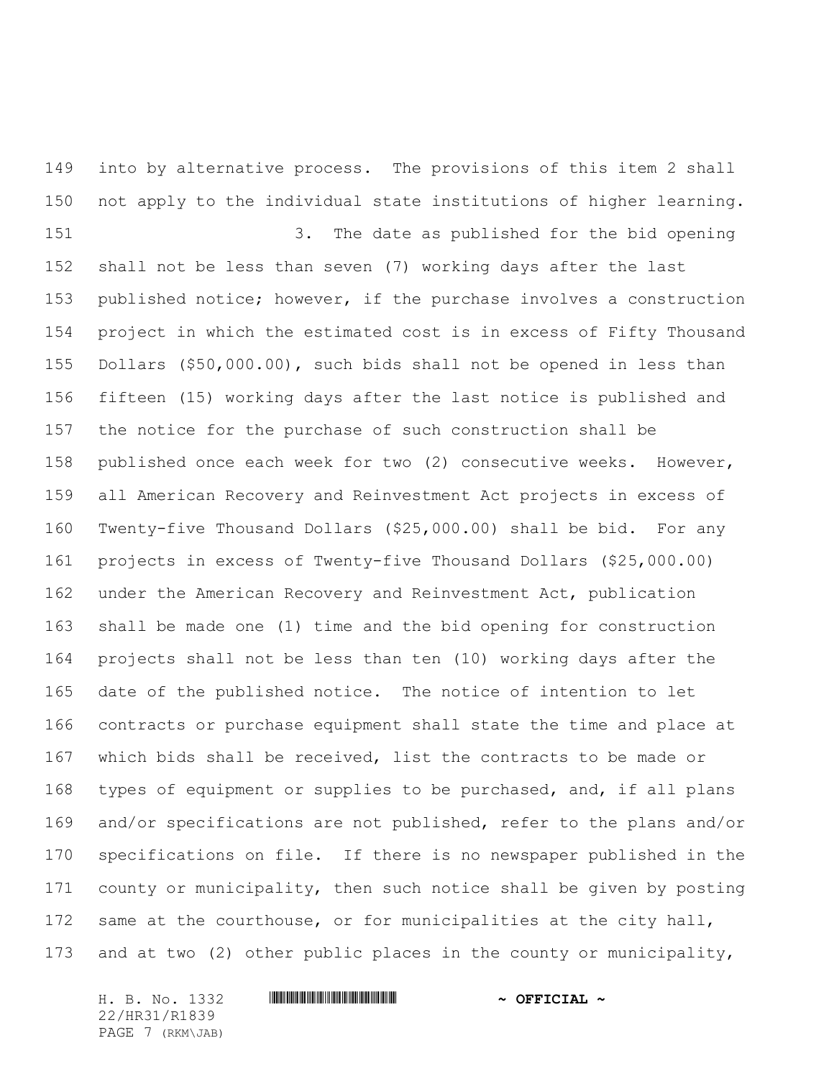into by alternative process. The provisions of this item 2 shall not apply to the individual state institutions of higher learning.

 3. The date as published for the bid opening shall not be less than seven (7) working days after the last published notice; however, if the purchase involves a construction project in which the estimated cost is in excess of Fifty Thousand Dollars (\$50,000.00), such bids shall not be opened in less than fifteen (15) working days after the last notice is published and the notice for the purchase of such construction shall be published once each week for two (2) consecutive weeks. However, all American Recovery and Reinvestment Act projects in excess of Twenty-five Thousand Dollars (\$25,000.00) shall be bid. For any projects in excess of Twenty-five Thousand Dollars (\$25,000.00) under the American Recovery and Reinvestment Act, publication shall be made one (1) time and the bid opening for construction projects shall not be less than ten (10) working days after the date of the published notice. The notice of intention to let contracts or purchase equipment shall state the time and place at which bids shall be received, list the contracts to be made or types of equipment or supplies to be purchased, and, if all plans and/or specifications are not published, refer to the plans and/or specifications on file. If there is no newspaper published in the county or municipality, then such notice shall be given by posting same at the courthouse, or for municipalities at the city hall, and at two (2) other public places in the county or municipality,

22/HR31/R1839 PAGE 7 (RKM\JAB)

#### H. B. No. 1332 **HRIBINIAN CONSERVANCE AND A OFFICIAL ~**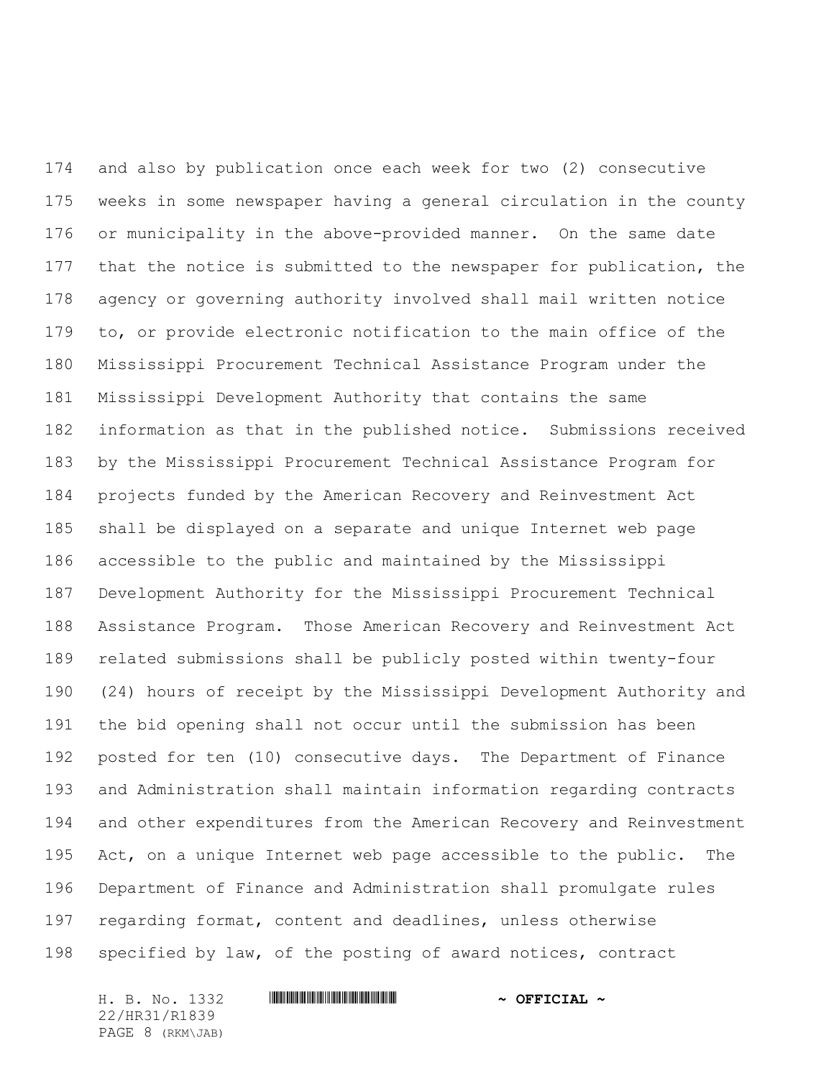and also by publication once each week for two (2) consecutive weeks in some newspaper having a general circulation in the county or municipality in the above-provided manner. On the same date that the notice is submitted to the newspaper for publication, the agency or governing authority involved shall mail written notice to, or provide electronic notification to the main office of the Mississippi Procurement Technical Assistance Program under the Mississippi Development Authority that contains the same information as that in the published notice. Submissions received by the Mississippi Procurement Technical Assistance Program for projects funded by the American Recovery and Reinvestment Act shall be displayed on a separate and unique Internet web page accessible to the public and maintained by the Mississippi Development Authority for the Mississippi Procurement Technical Assistance Program. Those American Recovery and Reinvestment Act related submissions shall be publicly posted within twenty-four (24) hours of receipt by the Mississippi Development Authority and the bid opening shall not occur until the submission has been posted for ten (10) consecutive days. The Department of Finance and Administration shall maintain information regarding contracts and other expenditures from the American Recovery and Reinvestment Act, on a unique Internet web page accessible to the public. The Department of Finance and Administration shall promulgate rules regarding format, content and deadlines, unless otherwise specified by law, of the posting of award notices, contract

22/HR31/R1839 PAGE 8 (RKM\JAB)

#### H. B. No. 1332 **HRIBINIAN CONSERVANCE AND A OFFICIAL ~**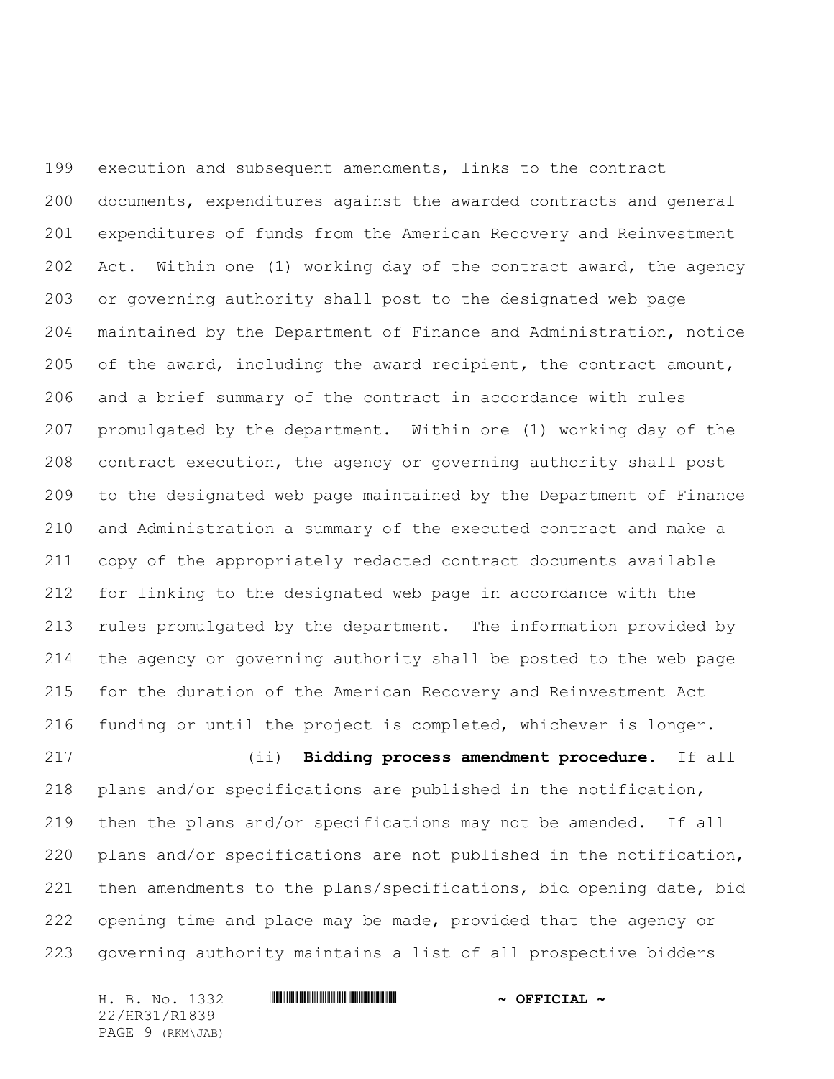execution and subsequent amendments, links to the contract documents, expenditures against the awarded contracts and general expenditures of funds from the American Recovery and Reinvestment Act. Within one (1) working day of the contract award, the agency or governing authority shall post to the designated web page maintained by the Department of Finance and Administration, notice of the award, including the award recipient, the contract amount, and a brief summary of the contract in accordance with rules promulgated by the department. Within one (1) working day of the contract execution, the agency or governing authority shall post to the designated web page maintained by the Department of Finance and Administration a summary of the executed contract and make a copy of the appropriately redacted contract documents available for linking to the designated web page in accordance with the rules promulgated by the department. The information provided by the agency or governing authority shall be posted to the web page for the duration of the American Recovery and Reinvestment Act funding or until the project is completed, whichever is longer.

 (ii) **Bidding process amendment procedure.** If all plans and/or specifications are published in the notification, then the plans and/or specifications may not be amended. If all plans and/or specifications are not published in the notification, then amendments to the plans/specifications, bid opening date, bid opening time and place may be made, provided that the agency or governing authority maintains a list of all prospective bidders

H. B. No. 1332 **HRIBINIAN CONSERVANCE AND A OFFICIAL ~** 22/HR31/R1839 PAGE 9 (RKM\JAB)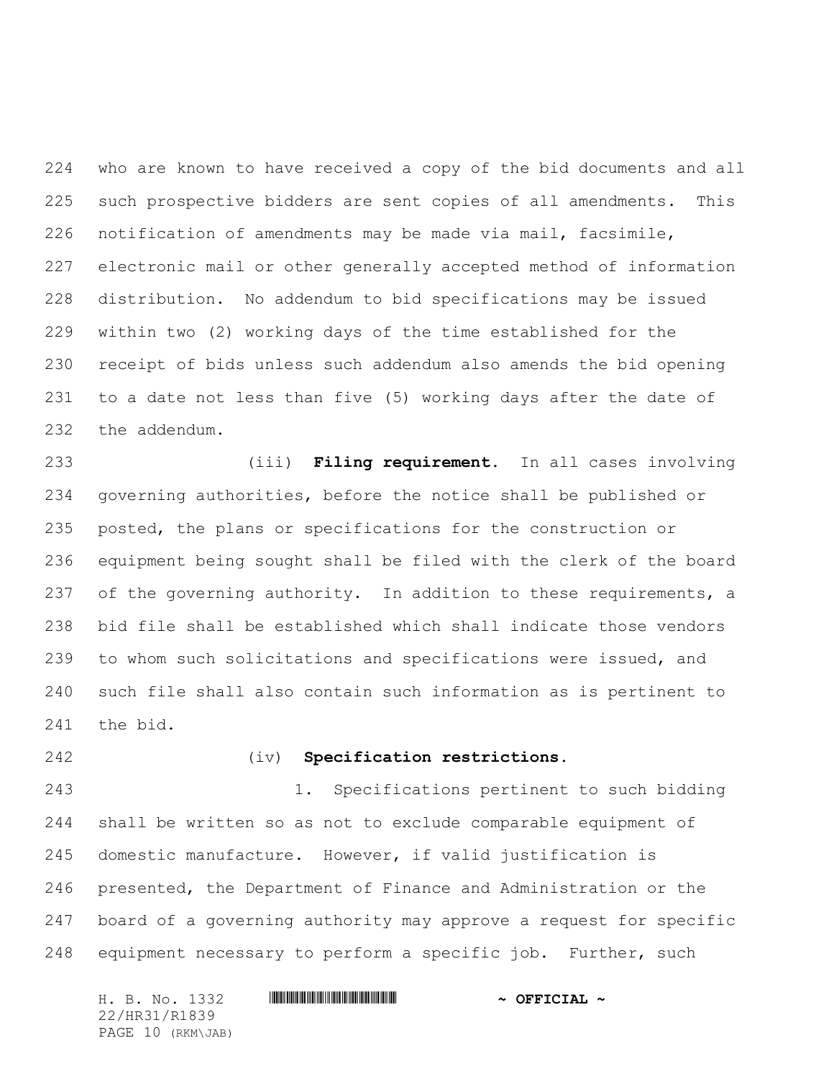who are known to have received a copy of the bid documents and all such prospective bidders are sent copies of all amendments. This notification of amendments may be made via mail, facsimile, electronic mail or other generally accepted method of information distribution. No addendum to bid specifications may be issued within two (2) working days of the time established for the receipt of bids unless such addendum also amends the bid opening to a date not less than five (5) working days after the date of the addendum.

 (iii) **Filing requirement.** In all cases involving governing authorities, before the notice shall be published or posted, the plans or specifications for the construction or equipment being sought shall be filed with the clerk of the board 237 of the governing authority. In addition to these requirements, a bid file shall be established which shall indicate those vendors to whom such solicitations and specifications were issued, and such file shall also contain such information as is pertinent to the bid.

## (iv) **Specification restrictions.**

 1. Specifications pertinent to such bidding shall be written so as not to exclude comparable equipment of domestic manufacture.However, if valid justification is presented, the Department of Finance and Administration or the board of a governing authority may approve a request for specific equipment necessary to perform a specific job. Further, such

H. B. No. 1332 **HRIBINIAN CONSERVANCE AND A OFFICIAL ~** 22/HR31/R1839 PAGE 10 (RKM\JAB)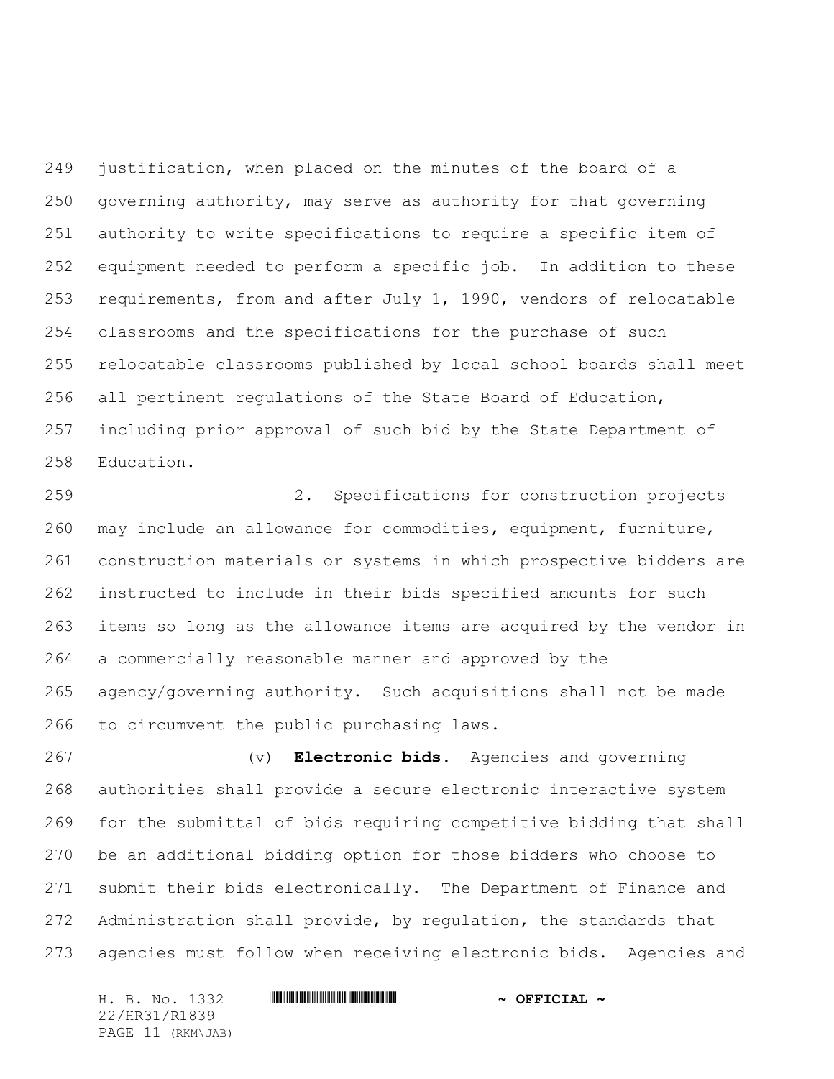justification, when placed on the minutes of the board of a governing authority, may serve as authority for that governing authority to write specifications to require a specific item of equipment needed to perform a specific job. In addition to these requirements, from and after July 1, 1990, vendors of relocatable classrooms and the specifications for the purchase of such relocatable classrooms published by local school boards shall meet all pertinent regulations of the State Board of Education, including prior approval of such bid by the State Department of Education.

 2. Specifications for construction projects may include an allowance for commodities, equipment, furniture, construction materials or systems in which prospective bidders are instructed to include in their bids specified amounts for such items so long as the allowance items are acquired by the vendor in a commercially reasonable manner and approved by the agency/governing authority. Such acquisitions shall not be made to circumvent the public purchasing laws.

 (v) **Electronic bids.** Agencies and governing authorities shall provide a secure electronic interactive system for the submittal of bids requiring competitive bidding that shall be an additional bidding option for those bidders who choose to submit their bids electronically. The Department of Finance and Administration shall provide, by regulation, the standards that agencies must follow when receiving electronic bids. Agencies and

H. B. No. 1332 \*HR31/R1839\* **~ OFFICIAL ~** 22/HR31/R1839 PAGE 11 (RKM\JAB)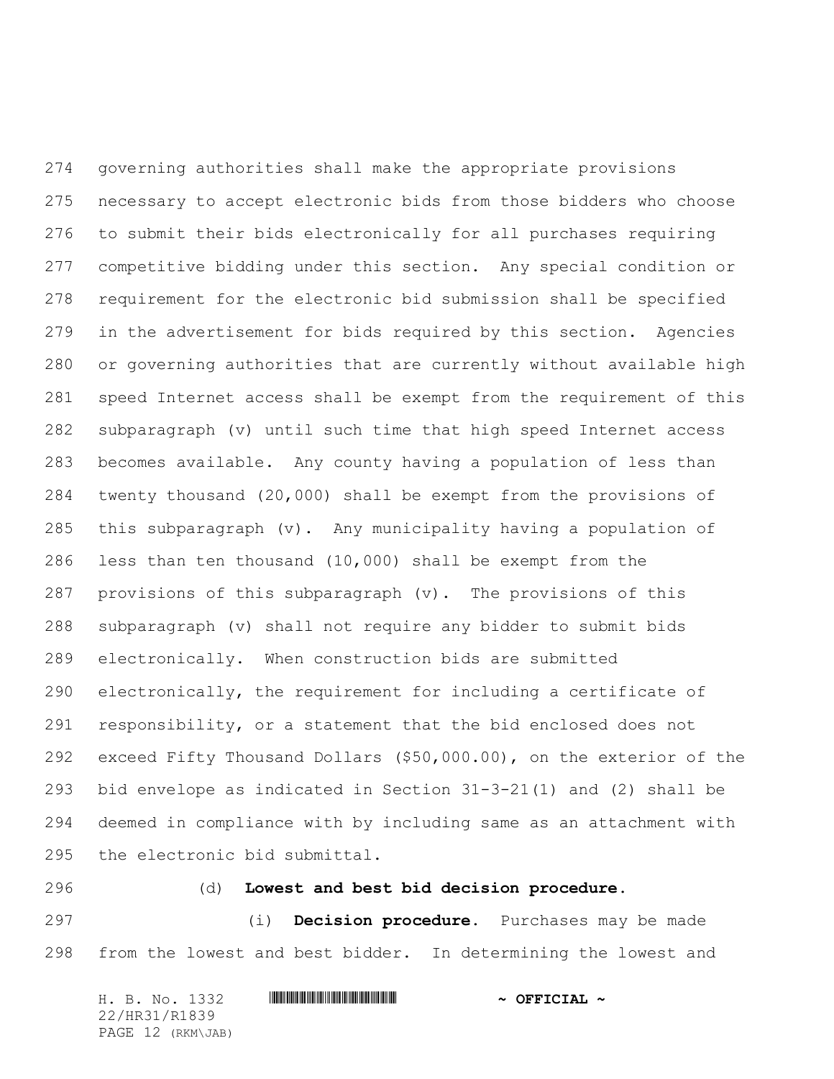governing authorities shall make the appropriate provisions necessary to accept electronic bids from those bidders who choose to submit their bids electronically for all purchases requiring competitive bidding under this section. Any special condition or requirement for the electronic bid submission shall be specified in the advertisement for bids required by this section. Agencies or governing authorities that are currently without available high speed Internet access shall be exempt from the requirement of this subparagraph (v) until such time that high speed Internet access becomes available. Any county having a population of less than twenty thousand (20,000) shall be exempt from the provisions of 285 this subparagraph  $(v)$ . Any municipality having a population of less than ten thousand (10,000) shall be exempt from the provisions of this subparagraph (v). The provisions of this subparagraph (v) shall not require any bidder to submit bids electronically. When construction bids are submitted electronically, the requirement for including a certificate of responsibility, or a statement that the bid enclosed does not exceed Fifty Thousand Dollars (\$50,000.00), on the exterior of the bid envelope as indicated in Section 31-3-21(1) and (2) shall be deemed in compliance with by including same as an attachment with the electronic bid submittal.

### (d) **Lowest and best bid decision procedure.**

 (i) **Decision procedure.** Purchases may be made from the lowest and best bidder. In determining the lowest and

| H. B. No. 1332    | $\sim$ OFFICIAL $\sim$ |
|-------------------|------------------------|
| 22/HR31/R1839     |                        |
| PAGE 12 (RKM\JAB) |                        |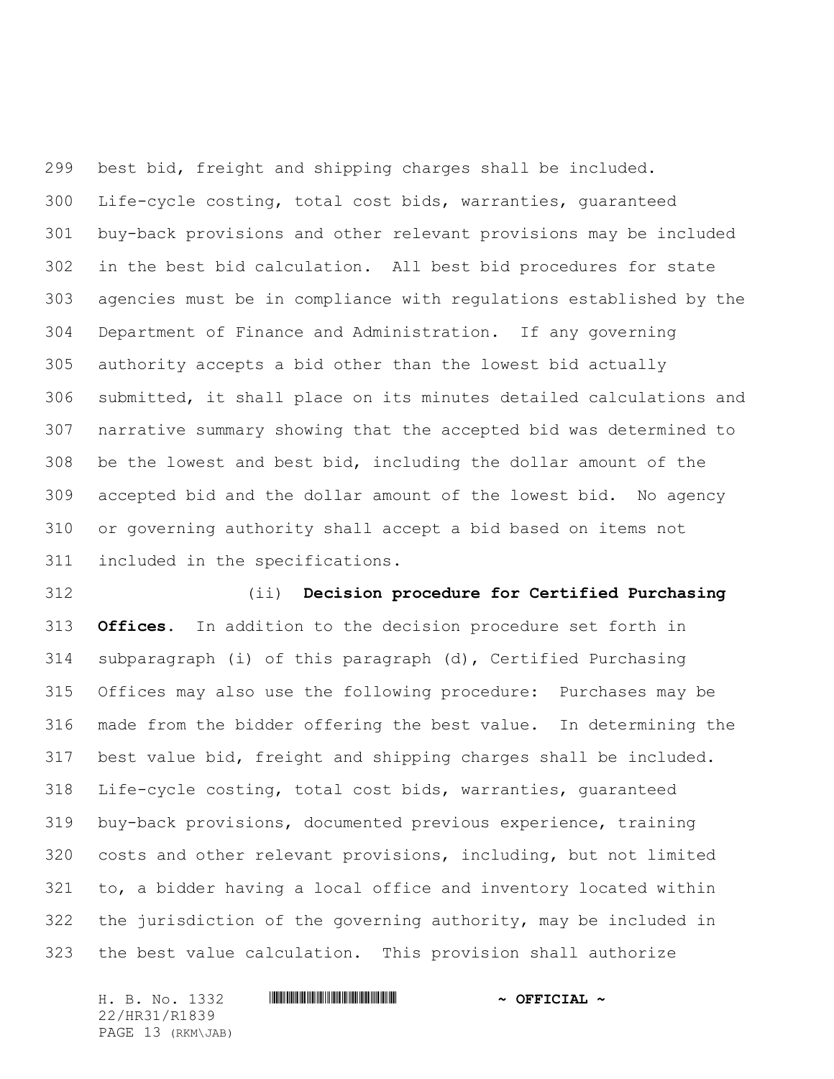best bid, freight and shipping charges shall be included. Life-cycle costing, total cost bids, warranties, guaranteed buy-back provisions and other relevant provisions may be included in the best bid calculation. All best bid procedures for state agencies must be in compliance with regulations established by the Department of Finance and Administration. If any governing authority accepts a bid other than the lowest bid actually submitted, it shall place on its minutes detailed calculations and narrative summary showing that the accepted bid was determined to be the lowest and best bid, including the dollar amount of the accepted bid and the dollar amount of the lowest bid. No agency or governing authority shall accept a bid based on items not included in the specifications.

 (ii) **Decision procedure for Certified Purchasing Offices.** In addition to the decision procedure set forth in subparagraph (i) of this paragraph (d), Certified Purchasing Offices may also use the following procedure: Purchases may be made from the bidder offering the best value. In determining the best value bid, freight and shipping charges shall be included. Life-cycle costing, total cost bids, warranties, guaranteed buy-back provisions, documented previous experience, training costs and other relevant provisions, including, but not limited to, a bidder having a local office and inventory located within the jurisdiction of the governing authority, may be included in the best value calculation. This provision shall authorize

H. B. No. 1332 **HRIBINIAN CONSERVANCE AND A OFFICIAL ~** 22/HR31/R1839 PAGE 13 (RKM\JAB)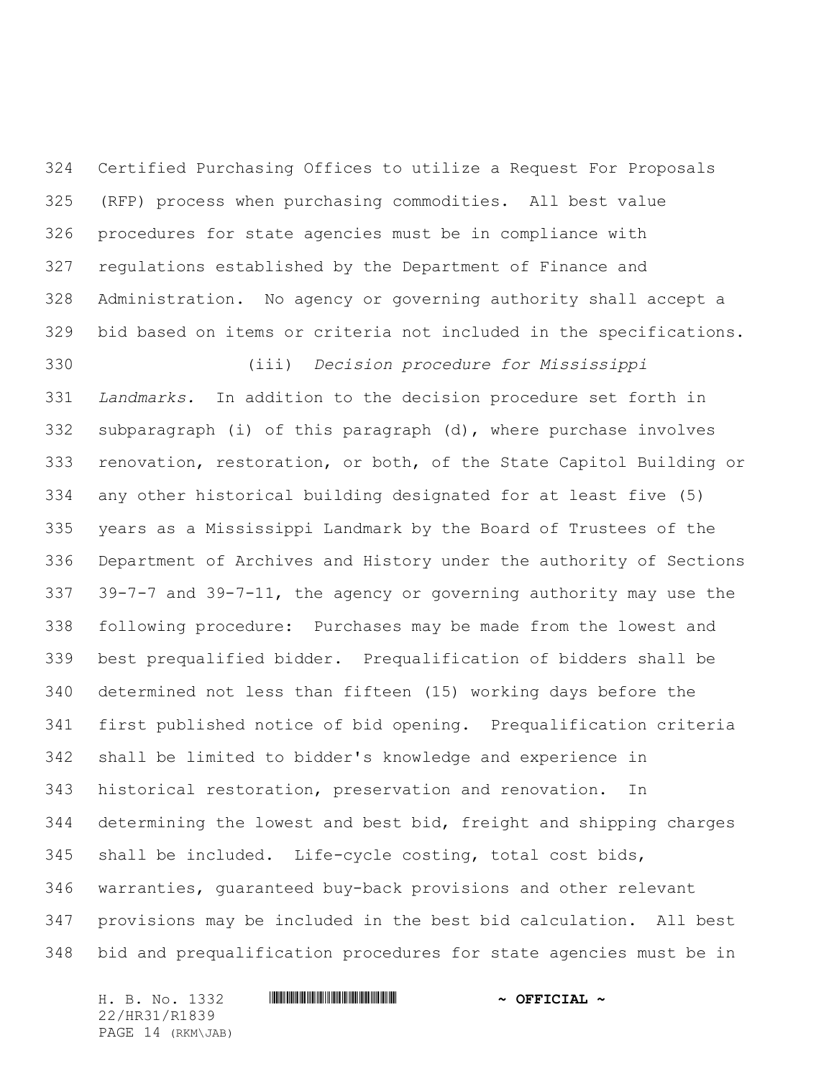Certified Purchasing Offices to utilize a Request For Proposals (RFP) process when purchasing commodities. All best value procedures for state agencies must be in compliance with regulations established by the Department of Finance and Administration. No agency or governing authority shall accept a bid based on items or criteria not included in the specifications.

 (iii) *Decision procedure for Mississippi Landmarks.* In addition to the decision procedure set forth in subparagraph (i) of this paragraph (d), where purchase involves renovation, restoration, or both, of the State Capitol Building or any other historical building designated for at least five (5) years as a Mississippi Landmark by the Board of Trustees of the Department of Archives and History under the authority of Sections 39-7-7 and 39-7-11, the agency or governing authority may use the following procedure: Purchases may be made from the lowest and best prequalified bidder. Prequalification of bidders shall be determined not less than fifteen (15) working days before the first published notice of bid opening. Prequalification criteria shall be limited to bidder's knowledge and experience in historical restoration, preservation and renovation. In determining the lowest and best bid, freight and shipping charges shall be included. Life-cycle costing, total cost bids, warranties, guaranteed buy-back provisions and other relevant provisions may be included in the best bid calculation. All best bid and prequalification procedures for state agencies must be in

H. B. No. 1332 **HRIBINING TERMIT AND A OFFICIAL ~** 22/HR31/R1839 PAGE 14 (RKM\JAB)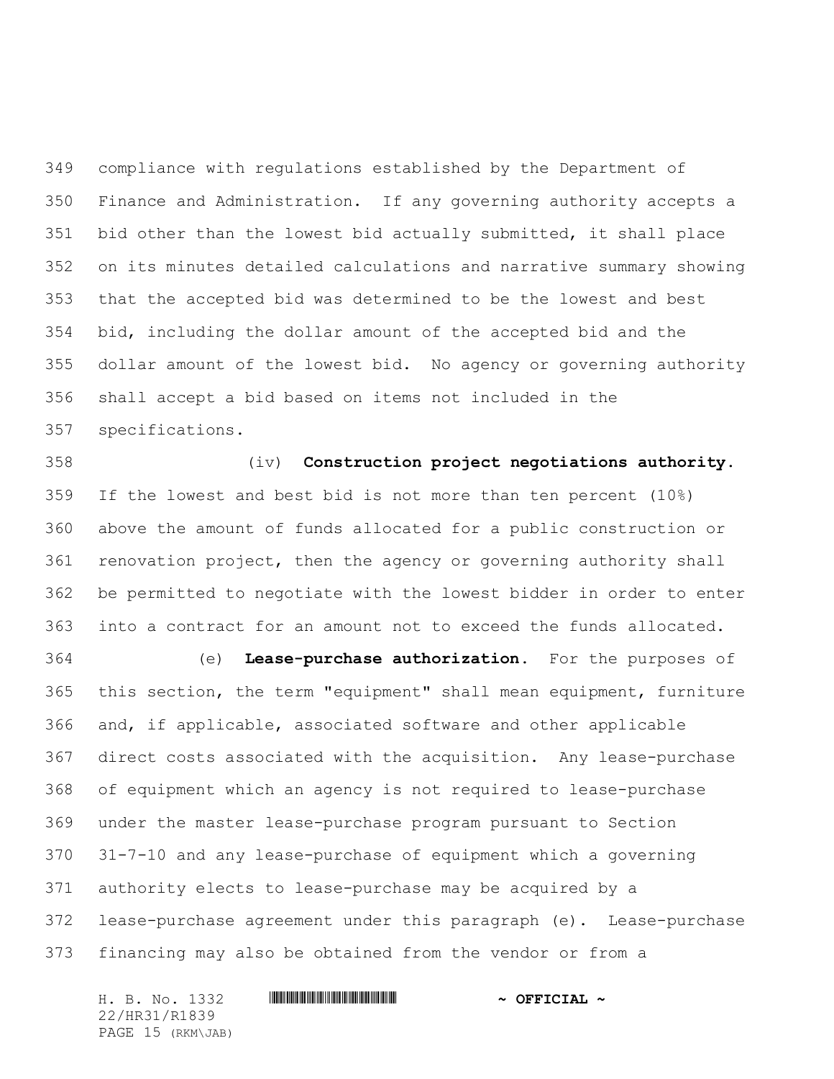compliance with regulations established by the Department of Finance and Administration. If any governing authority accepts a bid other than the lowest bid actually submitted, it shall place on its minutes detailed calculations and narrative summary showing that the accepted bid was determined to be the lowest and best bid, including the dollar amount of the accepted bid and the dollar amount of the lowest bid. No agency or governing authority shall accept a bid based on items not included in the specifications.

 (iv) **Construction project negotiations authority.** If the lowest and best bid is not more than ten percent (10%) above the amount of funds allocated for a public construction or renovation project, then the agency or governing authority shall be permitted to negotiate with the lowest bidder in order to enter into a contract for an amount not to exceed the funds allocated.

 (e) **Lease-purchase authorization.** For the purposes of this section, the term "equipment" shall mean equipment, furniture and, if applicable, associated software and other applicable direct costs associated with the acquisition. Any lease-purchase of equipment which an agency is not required to lease-purchase under the master lease-purchase program pursuant to Section 31-7-10 and any lease-purchase of equipment which a governing authority elects to lease-purchase may be acquired by a lease-purchase agreement under this paragraph (e). Lease-purchase financing may also be obtained from the vendor or from a

H. B. No. 1332 **HRIBINING TERMIT AND A OFFICIAL ~** 22/HR31/R1839 PAGE 15 (RKM\JAB)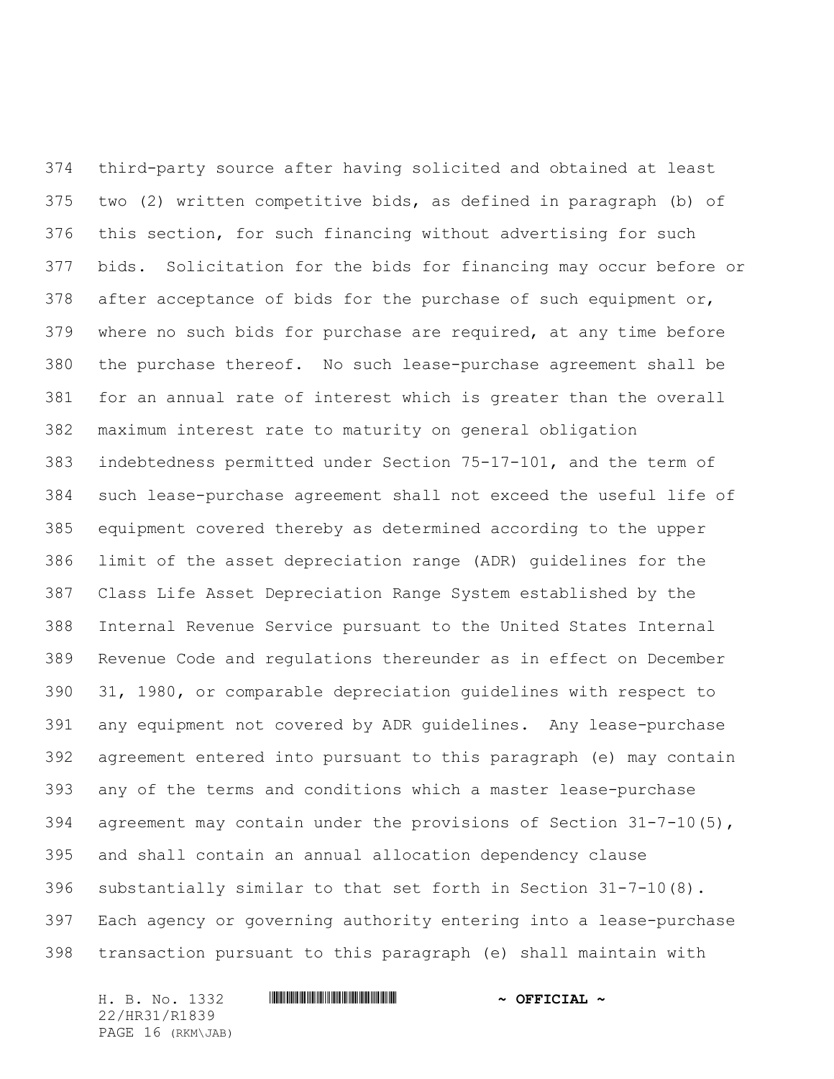third-party source after having solicited and obtained at least two (2) written competitive bids, as defined in paragraph (b) of this section, for such financing without advertising for such bids. Solicitation for the bids for financing may occur before or after acceptance of bids for the purchase of such equipment or, where no such bids for purchase are required, at any time before the purchase thereof. No such lease-purchase agreement shall be for an annual rate of interest which is greater than the overall maximum interest rate to maturity on general obligation indebtedness permitted under Section 75-17-101, and the term of such lease-purchase agreement shall not exceed the useful life of equipment covered thereby as determined according to the upper limit of the asset depreciation range (ADR) guidelines for the Class Life Asset Depreciation Range System established by the Internal Revenue Service pursuant to the United States Internal Revenue Code and regulations thereunder as in effect on December 31, 1980, or comparable depreciation guidelines with respect to any equipment not covered by ADR guidelines. Any lease-purchase agreement entered into pursuant to this paragraph (e) may contain any of the terms and conditions which a master lease-purchase 394 agreement may contain under the provisions of Section  $31-7-10(5)$ , and shall contain an annual allocation dependency clause substantially similar to that set forth in Section 31-7-10(8). Each agency or governing authority entering into a lease-purchase transaction pursuant to this paragraph (e) shall maintain with

H. B. No. 1332 **HRIBINING TERMIT AND A OFFICIAL ~** 22/HR31/R1839 PAGE 16 (RKM\JAB)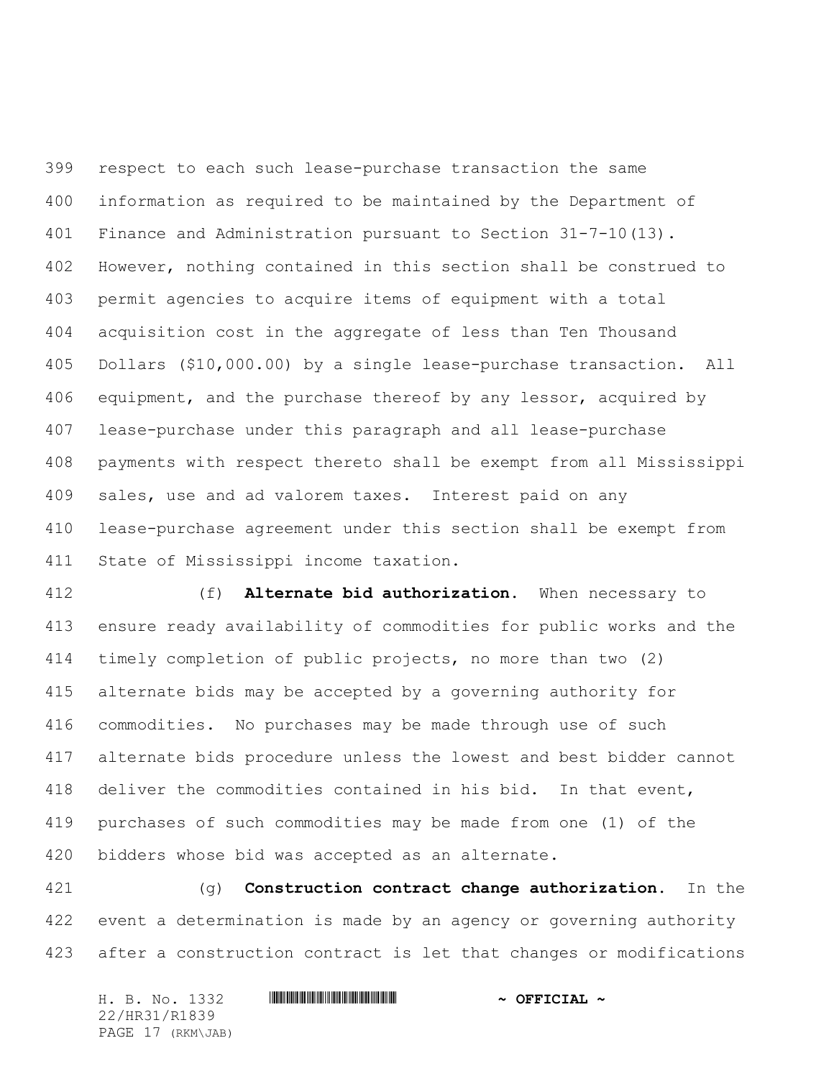respect to each such lease-purchase transaction the same information as required to be maintained by the Department of Finance and Administration pursuant to Section 31-7-10(13). However, nothing contained in this section shall be construed to permit agencies to acquire items of equipment with a total acquisition cost in the aggregate of less than Ten Thousand Dollars (\$10,000.00) by a single lease-purchase transaction. All equipment, and the purchase thereof by any lessor, acquired by lease-purchase under this paragraph and all lease-purchase payments with respect thereto shall be exempt from all Mississippi sales, use and ad valorem taxes. Interest paid on any lease-purchase agreement under this section shall be exempt from State of Mississippi income taxation.

 (f) **Alternate bid authorization.** When necessary to ensure ready availability of commodities for public works and the timely completion of public projects, no more than two (2) alternate bids may be accepted by a governing authority for commodities. No purchases may be made through use of such alternate bids procedure unless the lowest and best bidder cannot deliver the commodities contained in his bid. In that event, purchases of such commodities may be made from one (1) of the bidders whose bid was accepted as an alternate.

 (g) **Construction contract change authorization.** In the event a determination is made by an agency or governing authority after a construction contract is let that changes or modifications

| H. B. No. 1332    | $\sim$ OFFICIAL $\sim$ |
|-------------------|------------------------|
| 22/HR31/R1839     |                        |
| PAGE 17 (RKM\JAB) |                        |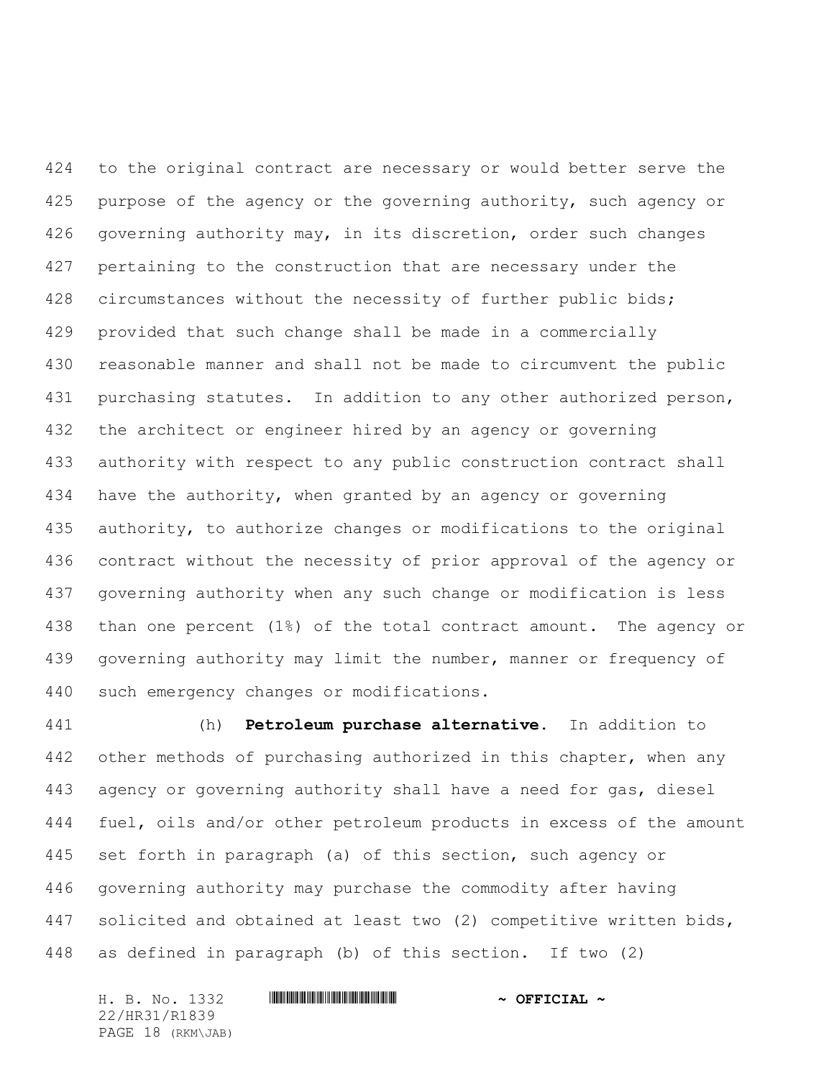to the original contract are necessary or would better serve the 425 purpose of the agency or the governing authority, such agency or governing authority may, in its discretion, order such changes pertaining to the construction that are necessary under the 428 circumstances without the necessity of further public bids; provided that such change shall be made in a commercially reasonable manner and shall not be made to circumvent the public 431 purchasing statutes. In addition to any other authorized person, the architect or engineer hired by an agency or governing authority with respect to any public construction contract shall have the authority, when granted by an agency or governing authority, to authorize changes or modifications to the original contract without the necessity of prior approval of the agency or governing authority when any such change or modification is less than one percent (1%) of the total contract amount. The agency or governing authority may limit the number, manner or frequency of such emergency changes or modifications.

 (h) **Petroleum purchase alternative.** In addition to 442 other methods of purchasing authorized in this chapter, when any agency or governing authority shall have a need for gas, diesel fuel, oils and/or other petroleum products in excess of the amount set forth in paragraph (a) of this section, such agency or governing authority may purchase the commodity after having 447 solicited and obtained at least two (2) competitive written bids, as defined in paragraph (b) of this section. If two (2)

H. B. No. 1332 **HRIBINING TERMIT AND A OFFICIAL ~** 22/HR31/R1839 PAGE 18 (RKM\JAB)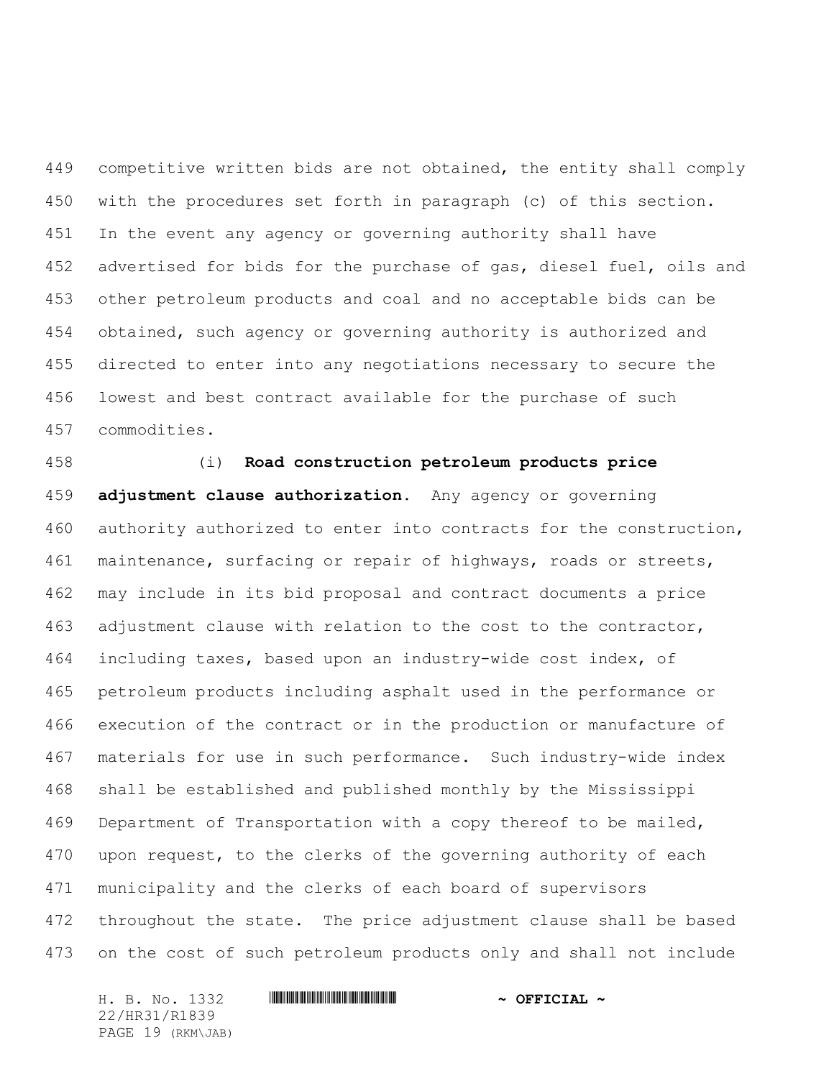competitive written bids are not obtained, the entity shall comply with the procedures set forth in paragraph (c) of this section. In the event any agency or governing authority shall have advertised for bids for the purchase of gas, diesel fuel, oils and other petroleum products and coal and no acceptable bids can be obtained, such agency or governing authority is authorized and directed to enter into any negotiations necessary to secure the lowest and best contract available for the purchase of such commodities.

 (i) **Road construction petroleum products price adjustment clause authorization.** Any agency or governing authority authorized to enter into contracts for the construction, maintenance, surfacing or repair of highways, roads or streets, may include in its bid proposal and contract documents a price adjustment clause with relation to the cost to the contractor, including taxes, based upon an industry-wide cost index, of petroleum products including asphalt used in the performance or execution of the contract or in the production or manufacture of materials for use in such performance. Such industry-wide index shall be established and published monthly by the Mississippi Department of Transportation with a copy thereof to be mailed, upon request, to the clerks of the governing authority of each municipality and the clerks of each board of supervisors 472 throughout the state. The price adjustment clause shall be based on the cost of such petroleum products only and shall not include

H. B. No. 1332 \*HR31/R1839\* **~ OFFICIAL ~** 22/HR31/R1839 PAGE 19 (RKM\JAB)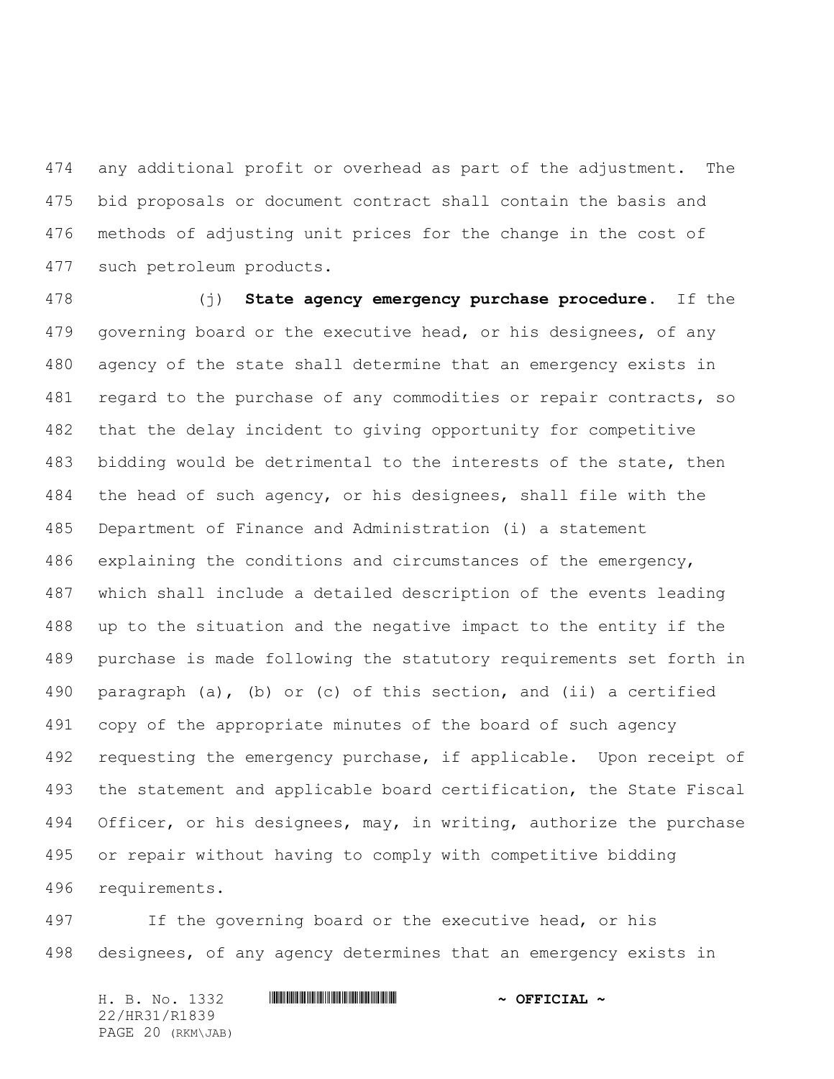any additional profit or overhead as part of the adjustment. The bid proposals or document contract shall contain the basis and methods of adjusting unit prices for the change in the cost of such petroleum products.

 (j) **State agency emergency purchase procedure.** If the governing board or the executive head, or his designees, of any agency of the state shall determine that an emergency exists in 481 regard to the purchase of any commodities or repair contracts, so that the delay incident to giving opportunity for competitive bidding would be detrimental to the interests of the state, then the head of such agency, or his designees, shall file with the Department of Finance and Administration (i) a statement explaining the conditions and circumstances of the emergency, which shall include a detailed description of the events leading up to the situation and the negative impact to the entity if the purchase is made following the statutory requirements set forth in paragraph (a), (b) or (c) of this section, and (ii) a certified copy of the appropriate minutes of the board of such agency requesting the emergency purchase, if applicable. Upon receipt of the statement and applicable board certification, the State Fiscal Officer, or his designees, may, in writing, authorize the purchase or repair without having to comply with competitive bidding requirements.

 If the governing board or the executive head, or his designees, of any agency determines that an emergency exists in

H. B. No. 1332 **HRIBINING TERMIT AND A OFFICIAL ~** 22/HR31/R1839 PAGE 20 (RKM\JAB)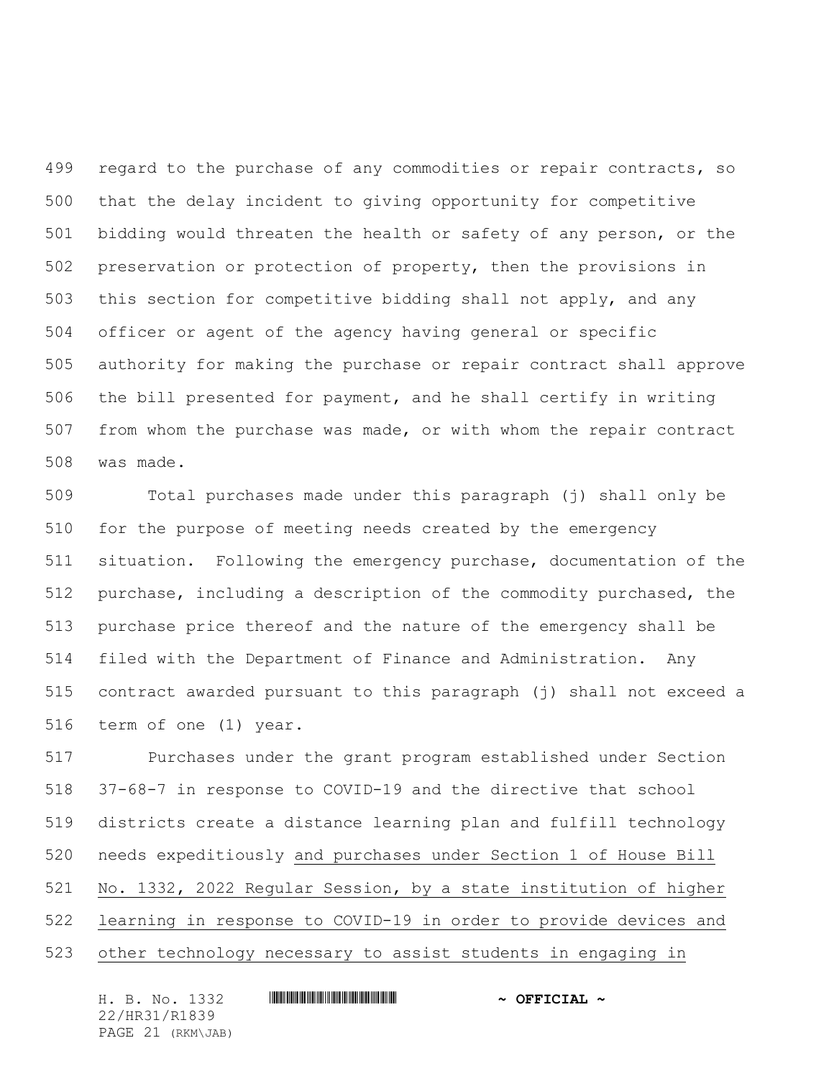499 regard to the purchase of any commodities or repair contracts, so that the delay incident to giving opportunity for competitive bidding would threaten the health or safety of any person, or the preservation or protection of property, then the provisions in this section for competitive bidding shall not apply, and any officer or agent of the agency having general or specific authority for making the purchase or repair contract shall approve the bill presented for payment, and he shall certify in writing from whom the purchase was made, or with whom the repair contract was made.

 Total purchases made under this paragraph (j) shall only be for the purpose of meeting needs created by the emergency situation. Following the emergency purchase, documentation of the purchase, including a description of the commodity purchased, the purchase price thereof and the nature of the emergency shall be filed with the Department of Finance and Administration. Any contract awarded pursuant to this paragraph (j) shall not exceed a term of one (1) year.

 Purchases under the grant program established under Section 37-68-7 in response to COVID-19 and the directive that school districts create a distance learning plan and fulfill technology needs expeditiously and purchases under Section 1 of House Bill No. 1332, 2022 Regular Session, by a state institution of higher learning in response to COVID-19 in order to provide devices and other technology necessary to assist students in engaging in

H. B. No. 1332 **HRIBINING TERMIT AND A OFFICIAL ~** 22/HR31/R1839 PAGE 21 (RKM\JAB)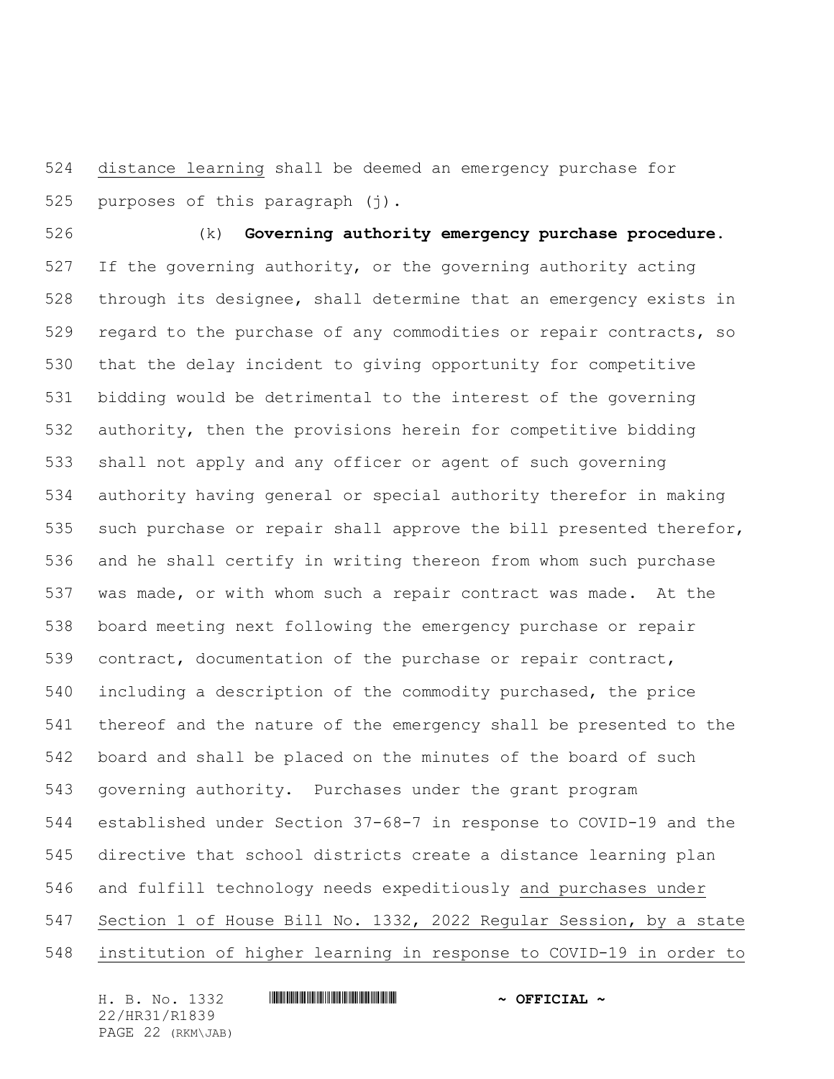distance learning shall be deemed an emergency purchase for purposes of this paragraph (j).

 (k) **Governing authority emergency purchase procedure.** If the governing authority, or the governing authority acting through its designee, shall determine that an emergency exists in regard to the purchase of any commodities or repair contracts, so that the delay incident to giving opportunity for competitive bidding would be detrimental to the interest of the governing authority, then the provisions herein for competitive bidding shall not apply and any officer or agent of such governing authority having general or special authority therefor in making such purchase or repair shall approve the bill presented therefor, and he shall certify in writing thereon from whom such purchase was made, or with whom such a repair contract was made. At the board meeting next following the emergency purchase or repair contract, documentation of the purchase or repair contract, including a description of the commodity purchased, the price thereof and the nature of the emergency shall be presented to the board and shall be placed on the minutes of the board of such governing authority. Purchases under the grant program established under Section 37-68-7 in response to COVID-19 and the directive that school districts create a distance learning plan and fulfill technology needs expeditiously and purchases under Section 1 of House Bill No. 1332, 2022 Regular Session, by a state institution of higher learning in response to COVID-19 in order to

H. B. No. 1332 **HRIBINING TERMIT AND A OFFICIAL ~** 22/HR31/R1839 PAGE 22 (RKM\JAB)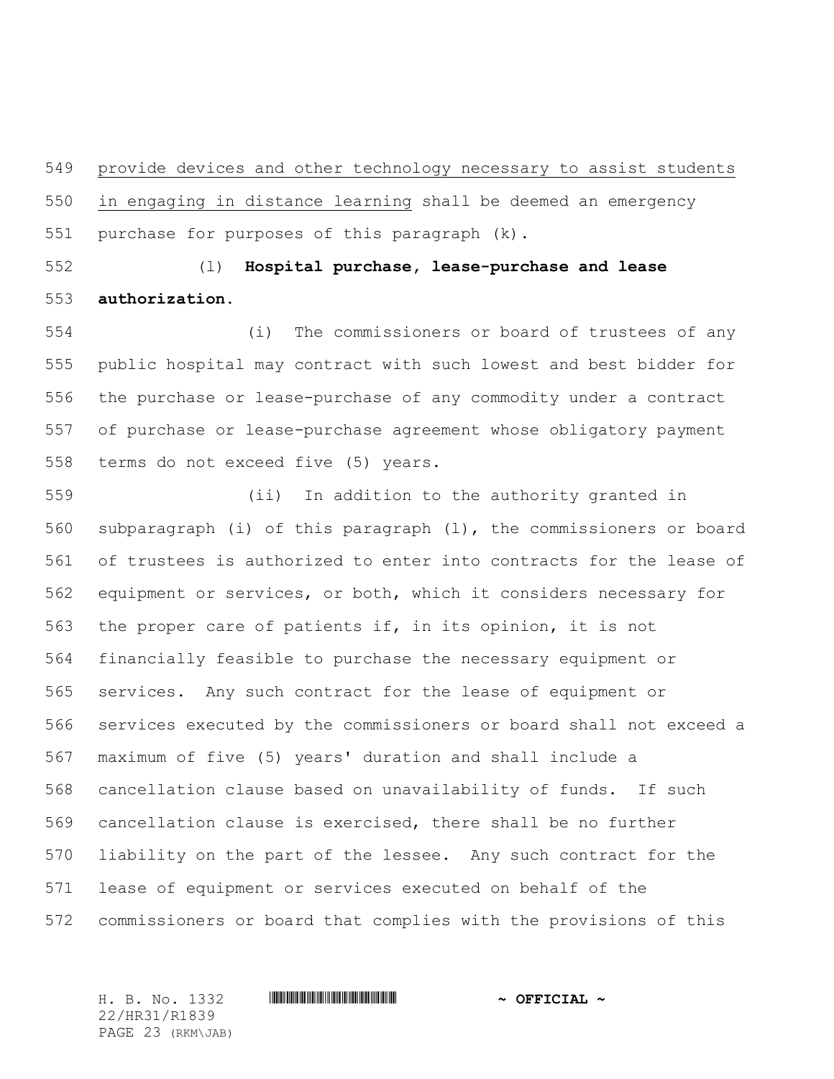provide devices and other technology necessary to assist students in engaging in distance learning shall be deemed an emergency purchase for purposes of this paragraph (k).

 (l) **Hospital purchase, lease-purchase and lease authorization.**

 (i) The commissioners or board of trustees of any public hospital may contract with such lowest and best bidder for the purchase or lease-purchase of any commodity under a contract of purchase or lease-purchase agreement whose obligatory payment terms do not exceed five (5) years.

 (ii) In addition to the authority granted in subparagraph (i) of this paragraph (l), the commissioners or board of trustees is authorized to enter into contracts for the lease of equipment or services, or both, which it considers necessary for the proper care of patients if, in its opinion, it is not financially feasible to purchase the necessary equipment or services. Any such contract for the lease of equipment or services executed by the commissioners or board shall not exceed a maximum of five (5) years' duration and shall include a cancellation clause based on unavailability of funds. If such cancellation clause is exercised, there shall be no further liability on the part of the lessee. Any such contract for the lease of equipment or services executed on behalf of the commissioners or board that complies with the provisions of this

H. B. No. 1332 \*HR31/R1839\* **~ OFFICIAL ~** 22/HR31/R1839 PAGE 23 (RKM\JAB)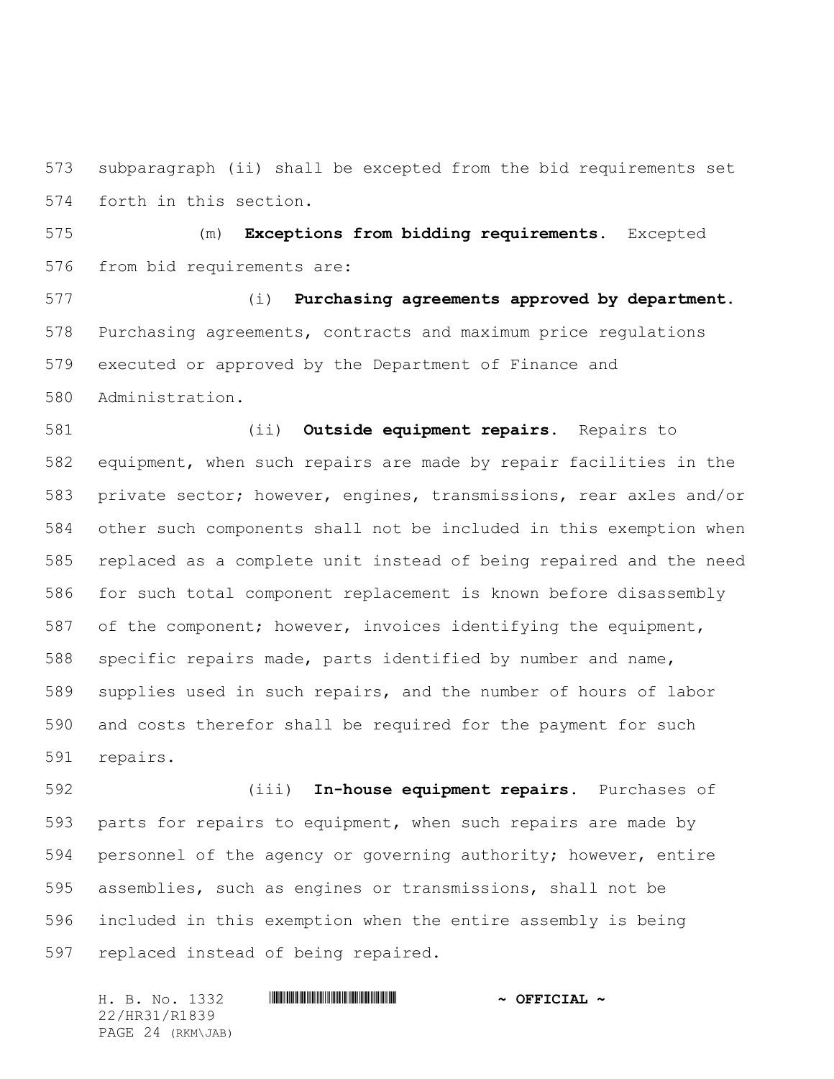subparagraph (ii) shall be excepted from the bid requirements set forth in this section.

 (m) **Exceptions from bidding requirements.** Excepted from bid requirements are:

 (i) **Purchasing agreements approved by department.** Purchasing agreements, contracts and maximum price regulations executed or approved by the Department of Finance and Administration.

 (ii) **Outside equipment repairs.** Repairs to equipment, when such repairs are made by repair facilities in the private sector; however, engines, transmissions, rear axles and/or other such components shall not be included in this exemption when replaced as a complete unit instead of being repaired and the need for such total component replacement is known before disassembly of the component; however, invoices identifying the equipment, specific repairs made, parts identified by number and name, supplies used in such repairs, and the number of hours of labor and costs therefor shall be required for the payment for such repairs.

 (iii) **In-house equipment repairs.** Purchases of parts for repairs to equipment, when such repairs are made by personnel of the agency or governing authority; however, entire assemblies, such as engines or transmissions, shall not be included in this exemption when the entire assembly is being replaced instead of being repaired.

H. B. No. 1332 \*HR31/R1839\* **~ OFFICIAL ~** 22/HR31/R1839 PAGE 24 (RKM\JAB)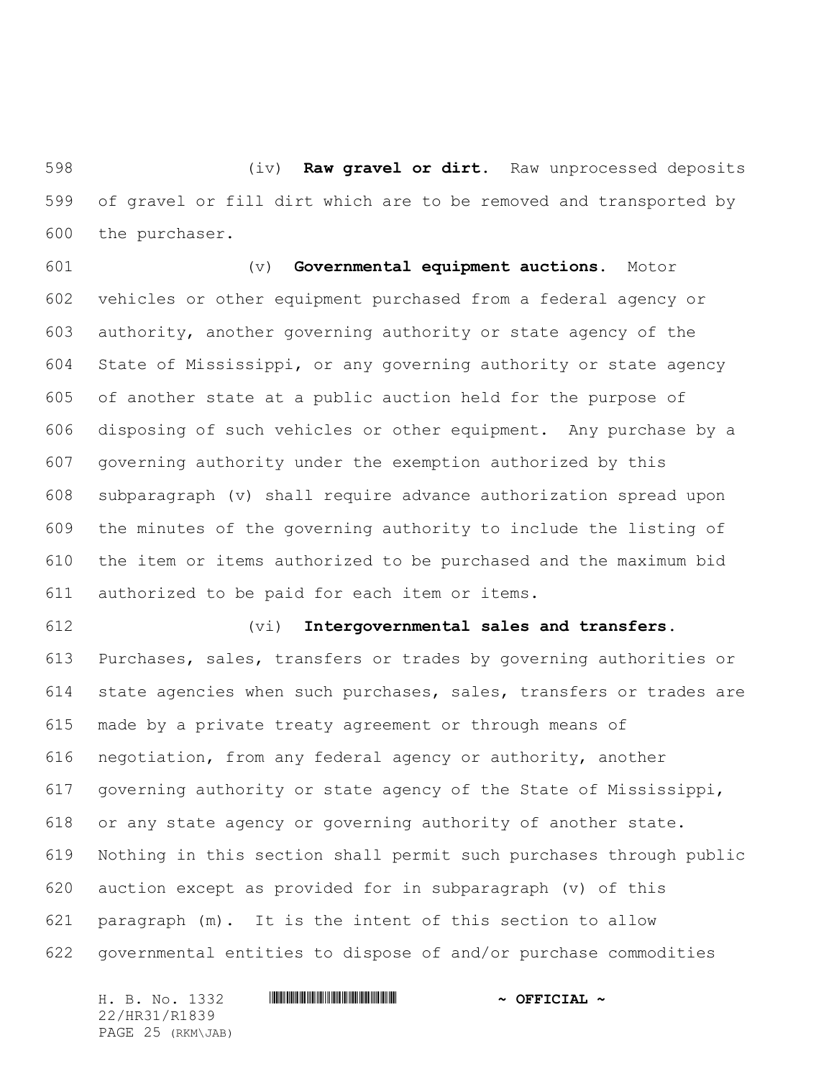(iv) **Raw gravel or dirt.** Raw unprocessed deposits of gravel or fill dirt which are to be removed and transported by the purchaser.

 (v) **Governmental equipment auctions.** Motor vehicles or other equipment purchased from a federal agency or authority, another governing authority or state agency of the State of Mississippi, or any governing authority or state agency of another state at a public auction held for the purpose of disposing of such vehicles or other equipment. Any purchase by a governing authority under the exemption authorized by this subparagraph (v) shall require advance authorization spread upon the minutes of the governing authority to include the listing of the item or items authorized to be purchased and the maximum bid authorized to be paid for each item or items.

#### (vi) **Intergovernmental sales and transfers.**

 Purchases, sales, transfers or trades by governing authorities or state agencies when such purchases, sales, transfers or trades are made by a private treaty agreement or through means of negotiation, from any federal agency or authority, another governing authority or state agency of the State of Mississippi, or any state agency or governing authority of another state. Nothing in this section shall permit such purchases through public auction except as provided for in subparagraph (v) of this paragraph (m). It is the intent of this section to allow governmental entities to dispose of and/or purchase commodities

H. B. No. 1332 **HRIBINING TERMIT AND A OFFICIAL ~** 22/HR31/R1839 PAGE 25 (RKM\JAB)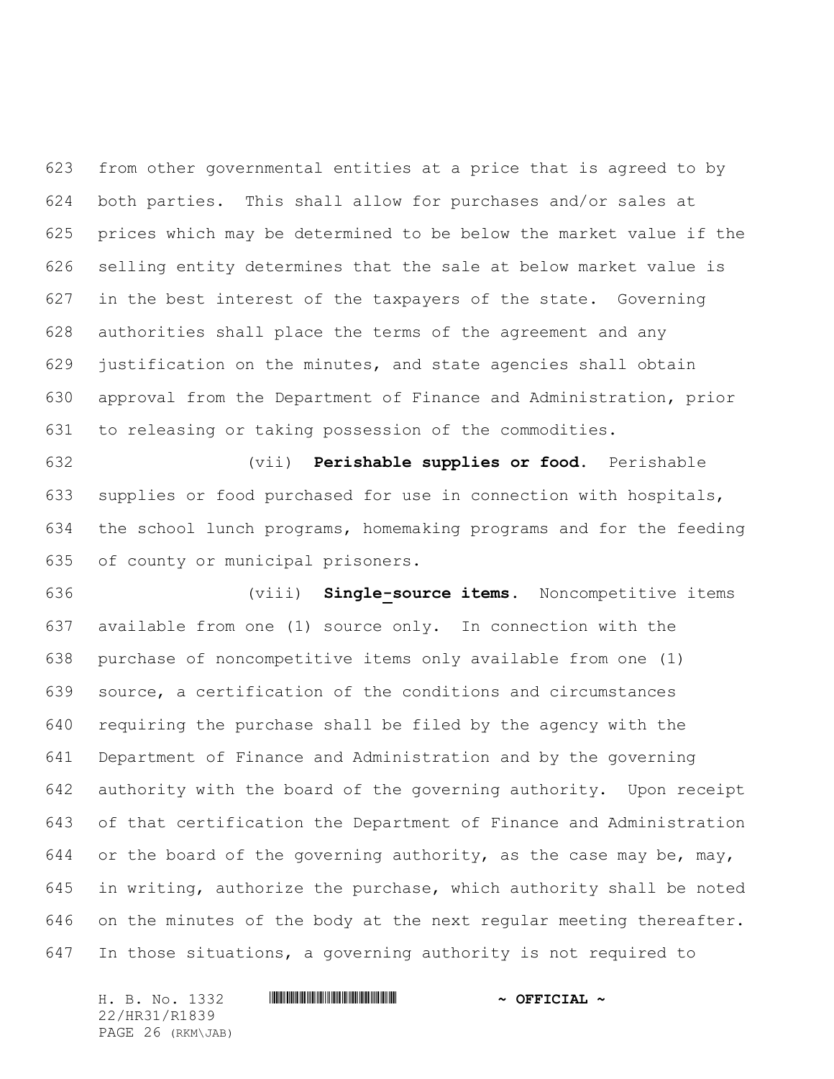from other governmental entities at a price that is agreed to by both parties. This shall allow for purchases and/or sales at prices which may be determined to be below the market value if the selling entity determines that the sale at below market value is in the best interest of the taxpayers of the state. Governing authorities shall place the terms of the agreement and any justification on the minutes, and state agencies shall obtain approval from the Department of Finance and Administration, prior to releasing or taking possession of the commodities.

 (vii) **Perishable supplies or food.** Perishable supplies or food purchased for use in connection with hospitals, the school lunch programs, homemaking programs and for the feeding of county or municipal prisoners.

 (viii) **Single-source items.** Noncompetitive items available from one (1) source only. In connection with the purchase of noncompetitive items only available from one (1) source, a certification of the conditions and circumstances requiring the purchase shall be filed by the agency with the Department of Finance and Administration and by the governing authority with the board of the governing authority. Upon receipt of that certification the Department of Finance and Administration 644 or the board of the governing authority, as the case may be, may, in writing, authorize the purchase, which authority shall be noted on the minutes of the body at the next regular meeting thereafter. In those situations, a governing authority is not required to

H. B. No. 1332 **HRIBINING TERMIT AND A OFFICIAL ~** 22/HR31/R1839 PAGE 26 (RKM\JAB)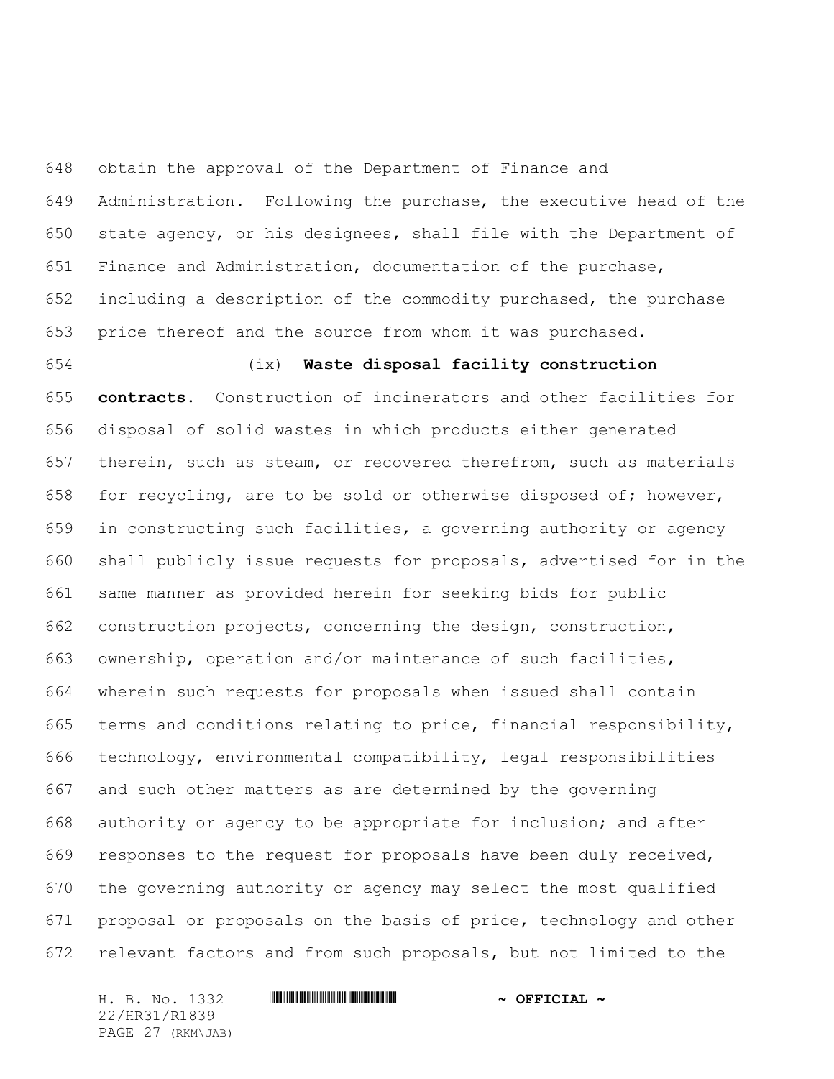obtain the approval of the Department of Finance and Administration. Following the purchase, the executive head of the state agency, or his designees, shall file with the Department of Finance and Administration, documentation of the purchase, including a description of the commodity purchased, the purchase price thereof and the source from whom it was purchased.

 (ix) **Waste disposal facility construction contracts.** Construction of incinerators and other facilities for disposal of solid wastes in which products either generated therein, such as steam, or recovered therefrom, such as materials for recycling, are to be sold or otherwise disposed of; however, in constructing such facilities, a governing authority or agency shall publicly issue requests for proposals, advertised for in the same manner as provided herein for seeking bids for public construction projects, concerning the design, construction, ownership, operation and/or maintenance of such facilities, wherein such requests for proposals when issued shall contain terms and conditions relating to price, financial responsibility, technology, environmental compatibility, legal responsibilities and such other matters as are determined by the governing authority or agency to be appropriate for inclusion; and after responses to the request for proposals have been duly received, the governing authority or agency may select the most qualified proposal or proposals on the basis of price, technology and other relevant factors and from such proposals, but not limited to the

H. B. No. 1332 **HRIBINING TERMIT AND A OFFICIAL ~** 22/HR31/R1839 PAGE 27 (RKM\JAB)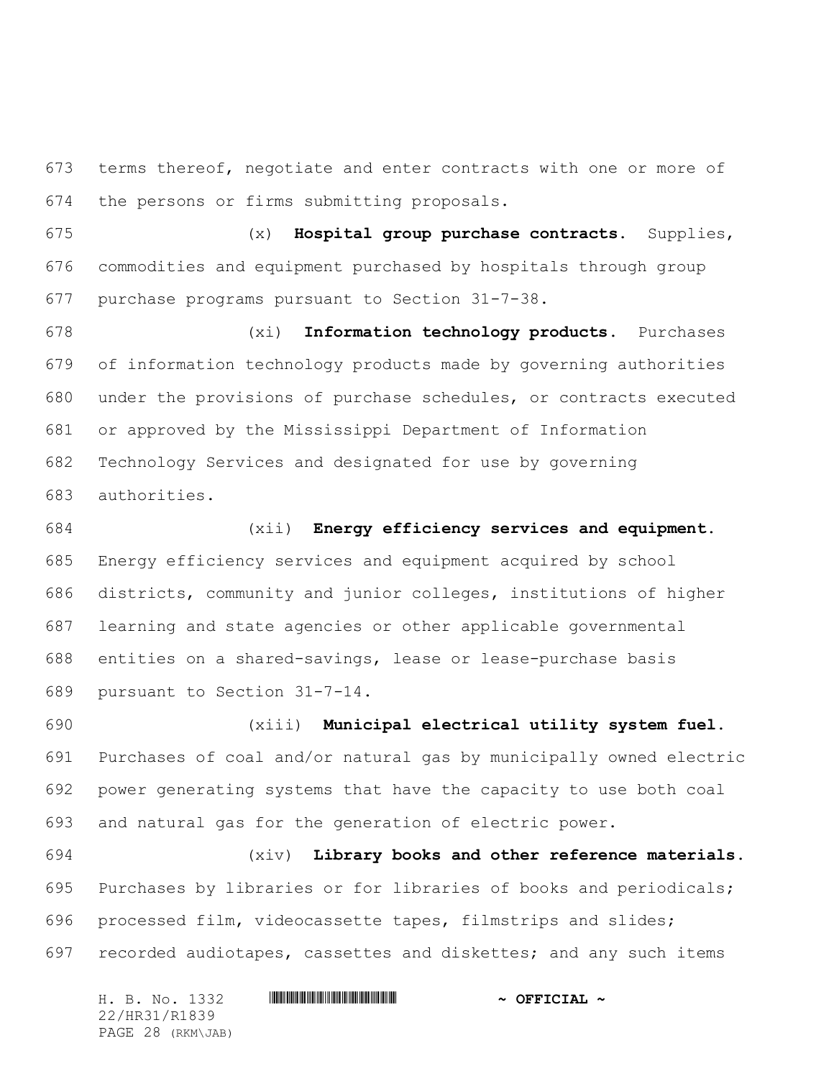terms thereof, negotiate and enter contracts with one or more of the persons or firms submitting proposals.

 (x) **Hospital group purchase contracts.** Supplies, commodities and equipment purchased by hospitals through group purchase programs pursuant to Section 31-7-38.

 (xi) **Information technology products.** Purchases of information technology products made by governing authorities under the provisions of purchase schedules, or contracts executed or approved by the Mississippi Department of Information Technology Services and designated for use by governing authorities.

 (xii) **Energy efficiency services and equipment.** Energy efficiency services and equipment acquired by school districts, community and junior colleges, institutions of higher learning and state agencies or other applicable governmental entities on a shared-savings, lease or lease-purchase basis pursuant to Section 31-7-14.

 (xiii) **Municipal electrical utility system fuel.** Purchases of coal and/or natural gas by municipally owned electric power generating systems that have the capacity to use both coal and natural gas for the generation of electric power.

 (xiv) **Library books and other reference materials.** Purchases by libraries or for libraries of books and periodicals; processed film, videocassette tapes, filmstrips and slides; recorded audiotapes, cassettes and diskettes; and any such items

H. B. No. 1332 **HRIBINING TERMIT AND A OFFICIAL ~** 22/HR31/R1839 PAGE 28 (RKM\JAB)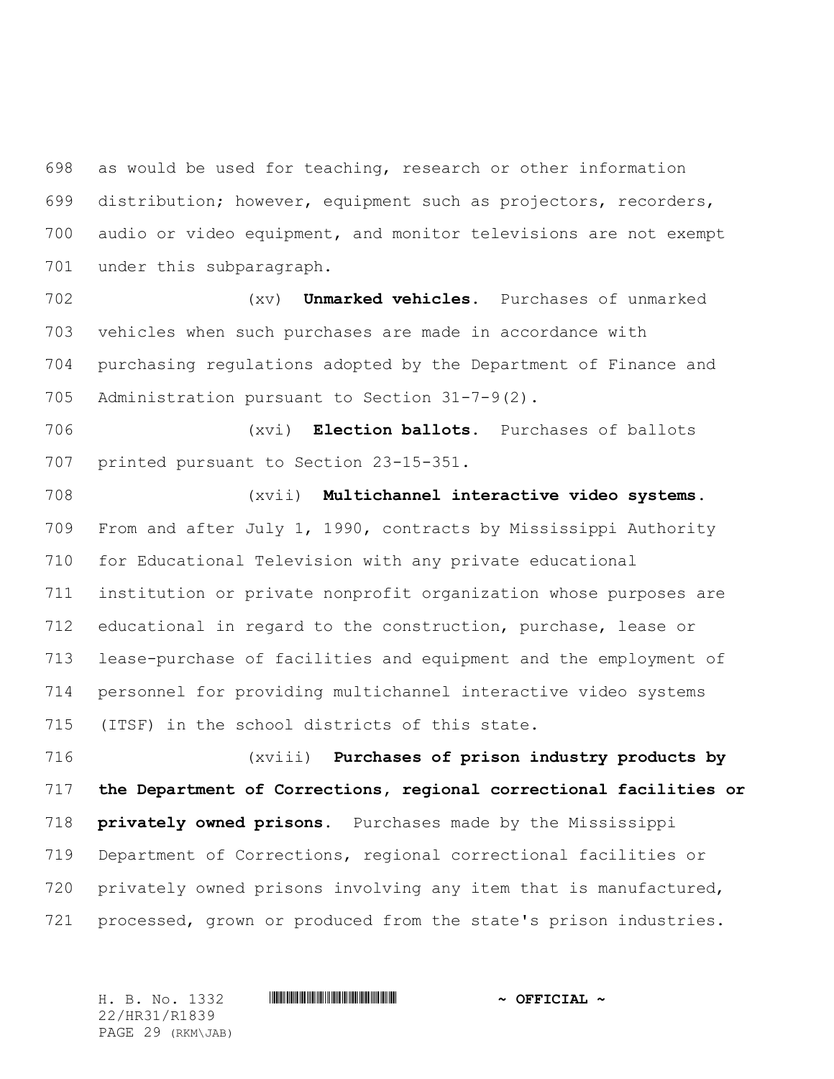as would be used for teaching, research or other information distribution; however, equipment such as projectors, recorders, audio or video equipment, and monitor televisions are not exempt under this subparagraph.

 (xv) **Unmarked vehicles.** Purchases of unmarked vehicles when such purchases are made in accordance with purchasing regulations adopted by the Department of Finance and Administration pursuant to Section 31-7-9(2).

 (xvi) **Election ballots.** Purchases of ballots printed pursuant to Section 23-15-351.

 (xvii) **Multichannel interactive video systems.** From and after July 1, 1990, contracts by Mississippi Authority for Educational Television with any private educational institution or private nonprofit organization whose purposes are educational in regard to the construction, purchase, lease or lease-purchase of facilities and equipment and the employment of personnel for providing multichannel interactive video systems (ITSF) in the school districts of this state.

 (xviii) **Purchases of prison industry products by the Department of Corrections, regional correctional facilities or privately owned prisons.** Purchases made by the Mississippi Department of Corrections, regional correctional facilities or 720 privately owned prisons involving any item that is manufactured, processed, grown or produced from the state's prison industries.

22/HR31/R1839 PAGE 29 (RKM\JAB)

H. B. No. 1332 \*HR31/R1839\* **~ OFFICIAL ~**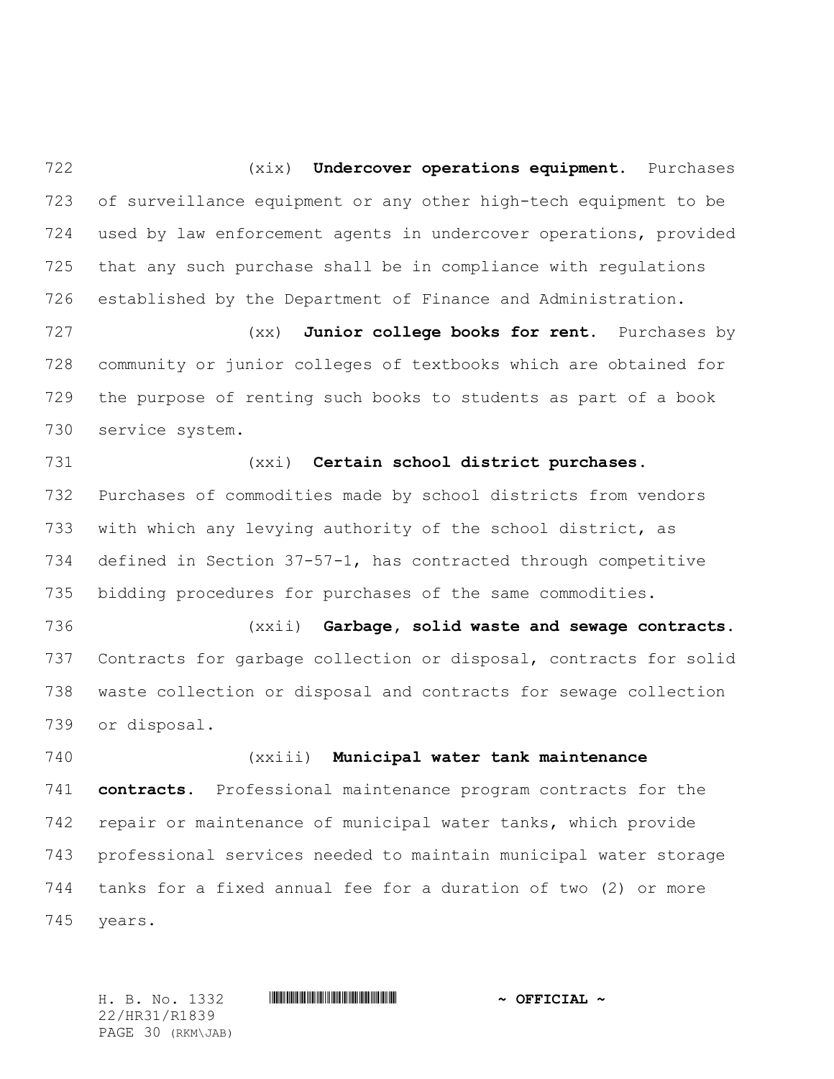(xix) **Undercover operations equipment.** Purchases of surveillance equipment or any other high-tech equipment to be used by law enforcement agents in undercover operations, provided that any such purchase shall be in compliance with regulations established by the Department of Finance and Administration.

 (xx) **Junior college books for rent.** Purchases by community or junior colleges of textbooks which are obtained for the purpose of renting such books to students as part of a book service system.

 (xxi) **Certain school district purchases.** Purchases of commodities made by school districts from vendors with which any levying authority of the school district, as defined in Section 37-57-1, has contracted through competitive bidding procedures for purchases of the same commodities.

 (xxii) **Garbage, solid waste and sewage contracts.** Contracts for garbage collection or disposal, contracts for solid waste collection or disposal and contracts for sewage collection or disposal.

 (xxiii) **Municipal water tank maintenance contracts.** Professional maintenance program contracts for the repair or maintenance of municipal water tanks, which provide professional services needed to maintain municipal water storage tanks for a fixed annual fee for a duration of two (2) or more years.

22/HR31/R1839 PAGE 30 (RKM\JAB)

H. B. No. 1332 \*HR31/R1839\* **~ OFFICIAL ~**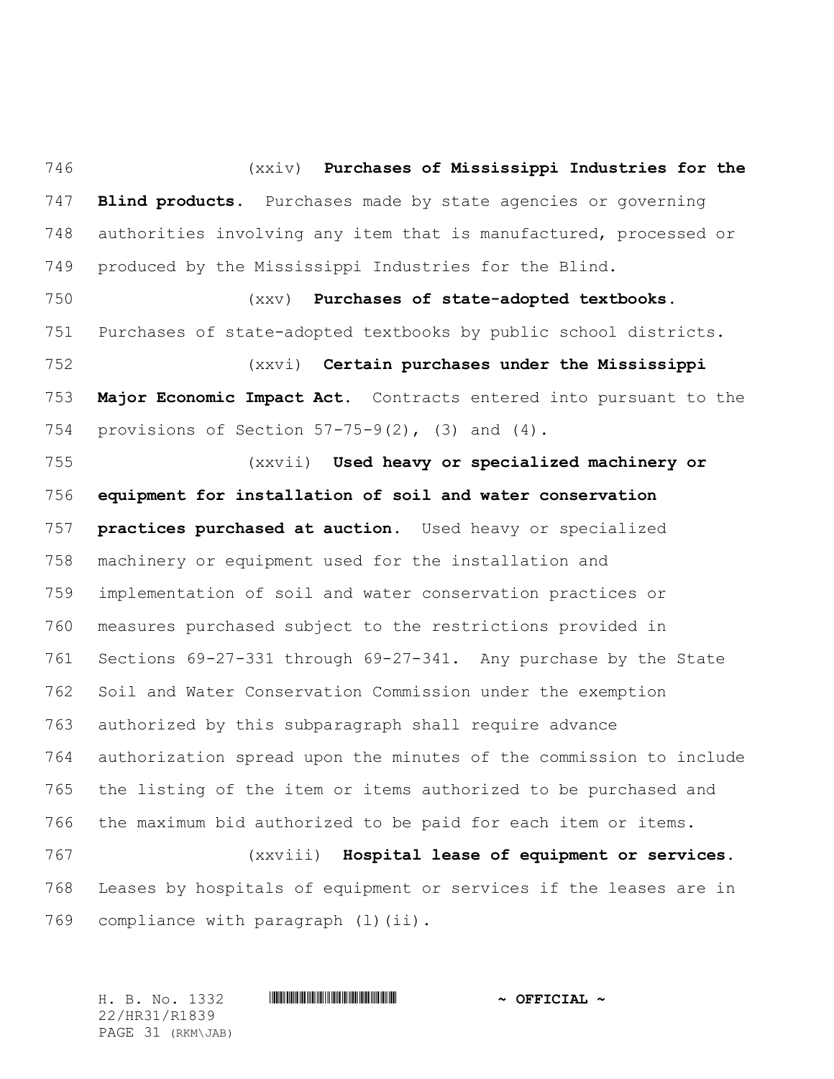(xxiv) **Purchases of Mississippi Industries for the Blind products.** Purchases made by state agencies or governing authorities involving any item that is manufactured, processed or produced by the Mississippi Industries for the Blind. (xxv) **Purchases of state-adopted textbooks.** Purchases of state-adopted textbooks by public school districts. (xxvi) **Certain purchases under the Mississippi Major Economic Impact Act.** Contracts entered into pursuant to the provisions of Section 57-75-9(2), (3) and (4). (xxvii) **Used heavy or specialized machinery or equipment for installation of soil and water conservation practices purchased at auction.** Used heavy or specialized machinery or equipment used for the installation and implementation of soil and water conservation practices or measures purchased subject to the restrictions provided in Sections 69-27-331 through 69-27-341. Any purchase by the State Soil and Water Conservation Commission under the exemption authorized by this subparagraph shall require advance authorization spread upon the minutes of the commission to include the listing of the item or items authorized to be purchased and the maximum bid authorized to be paid for each item or items. (xxviii) **Hospital lease of equipment or services.** Leases by hospitals of equipment or services if the leases are in

769 compliance with paragraph (1)(ii).

H. B. No. 1332 \*HR31/R1839\* **~ OFFICIAL ~** 22/HR31/R1839 PAGE 31 (RKM\JAB)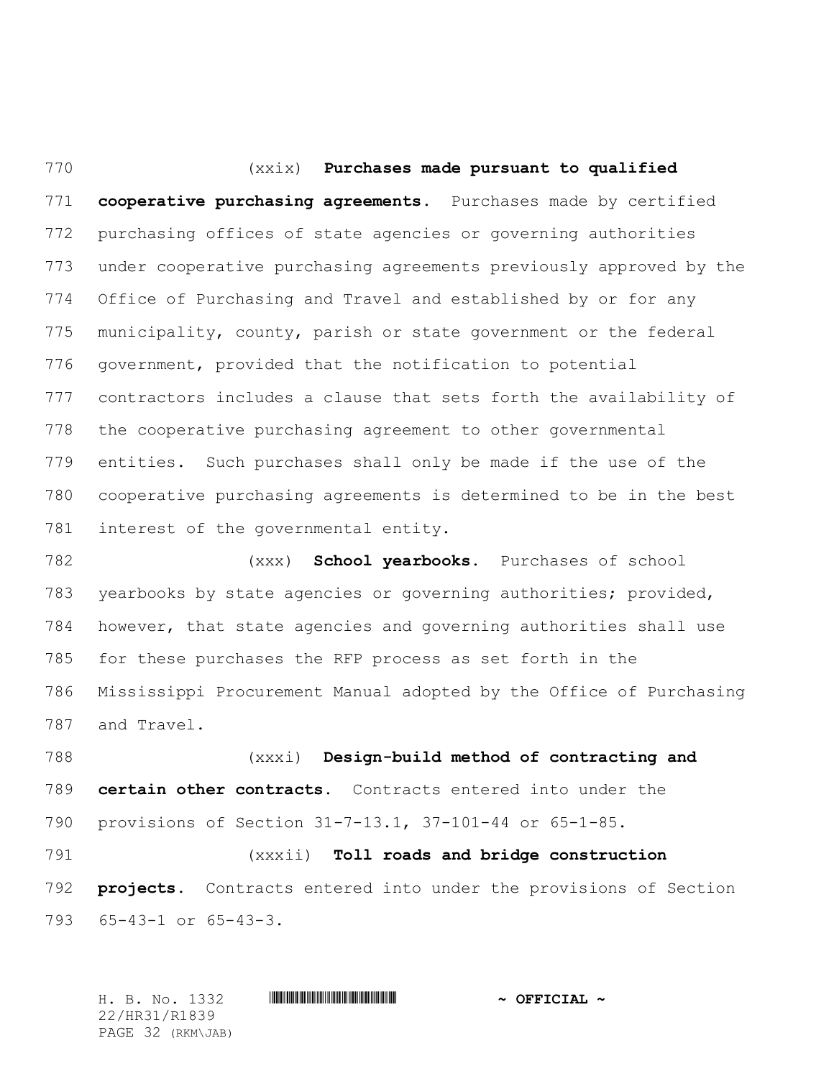(xxix) **Purchases made pursuant to qualified cooperative purchasing agreements.** Purchases made by certified purchasing offices of state agencies or governing authorities under cooperative purchasing agreements previously approved by the Office of Purchasing and Travel and established by or for any municipality, county, parish or state government or the federal government, provided that the notification to potential contractors includes a clause that sets forth the availability of the cooperative purchasing agreement to other governmental entities. Such purchases shall only be made if the use of the cooperative purchasing agreements is determined to be in the best interest of the governmental entity.

 (xxx) **School yearbooks.** Purchases of school yearbooks by state agencies or governing authorities; provided, however, that state agencies and governing authorities shall use for these purchases the RFP process as set forth in the Mississippi Procurement Manual adopted by the Office of Purchasing and Travel.

 (xxxi) **Design-build method of contracting and certain other contracts.** Contracts entered into under the provisions of Section 31-7-13.1, 37-101-44 or 65-1-85.

 (xxxii) **Toll roads and bridge construction projects.** Contracts entered into under the provisions of Section 65-43-1 or 65-43-3.

H. B. No. 1332 \*HR31/R1839\* **~ OFFICIAL ~** 22/HR31/R1839 PAGE 32 (RKM\JAB)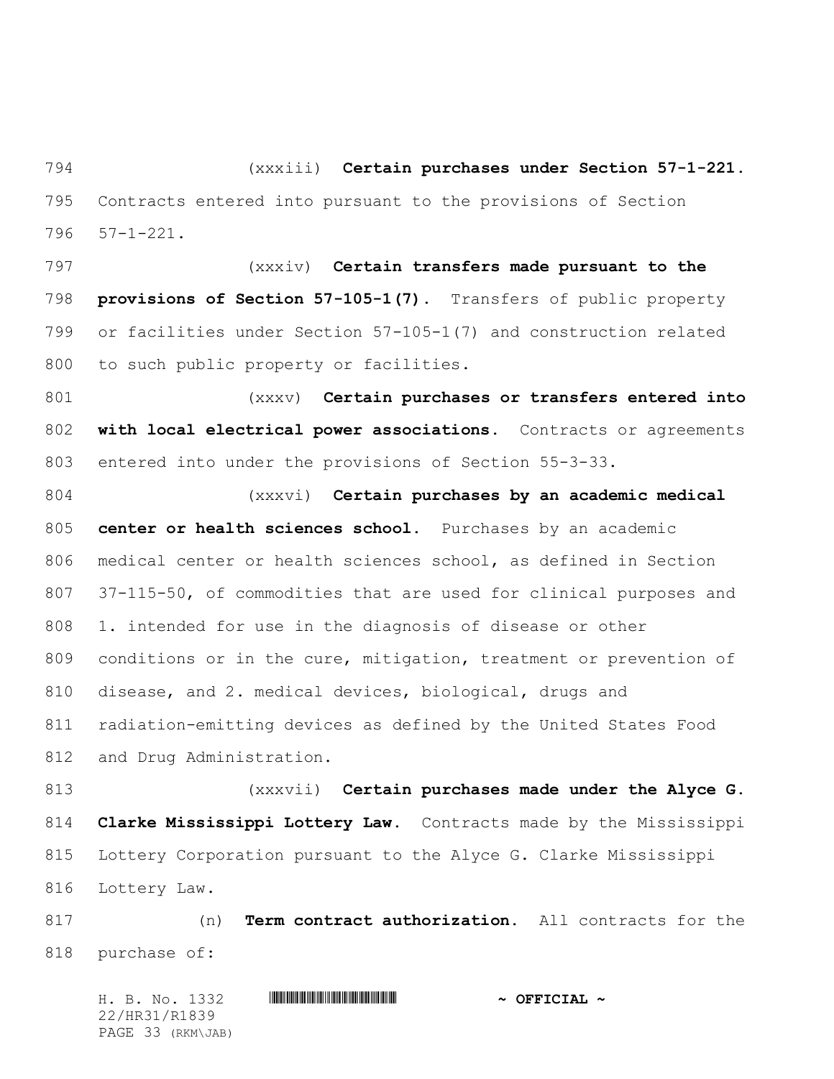(xxxiii) **Certain purchases under Section 57-1-221.** Contracts entered into pursuant to the provisions of Section 57-1-221.

 (xxxiv) **Certain transfers made pursuant to the provisions of Section 57-105-1(7).** Transfers of public property or facilities under Section 57-105-1(7) and construction related 800 to such public property or facilities.

 (xxxv) **Certain purchases or transfers entered into with local electrical power associations.** Contracts or agreements entered into under the provisions of Section 55-3-33.

 (xxxvi) **Certain purchases by an academic medical center or health sciences school**. Purchases by an academic medical center or health sciences school, as defined in Section 37-115-50, of commodities that are used for clinical purposes and 1. intended for use in the diagnosis of disease or other conditions or in the cure, mitigation, treatment or prevention of disease, and 2. medical devices, biological, drugs and radiation-emitting devices as defined by the United States Food and Drug Administration.

 (xxxvii) **Certain purchases made under the Alyce G. Clarke Mississippi Lottery Law.** Contracts made by the Mississippi Lottery Corporation pursuant to the Alyce G. Clarke Mississippi Lottery Law.

 (n) **Term contract authorization.** All contracts for the purchase of:

H. B. No. 1332 \*HR31/R1839\* **~ OFFICIAL ~** 22/HR31/R1839 PAGE 33 (RKM\JAB)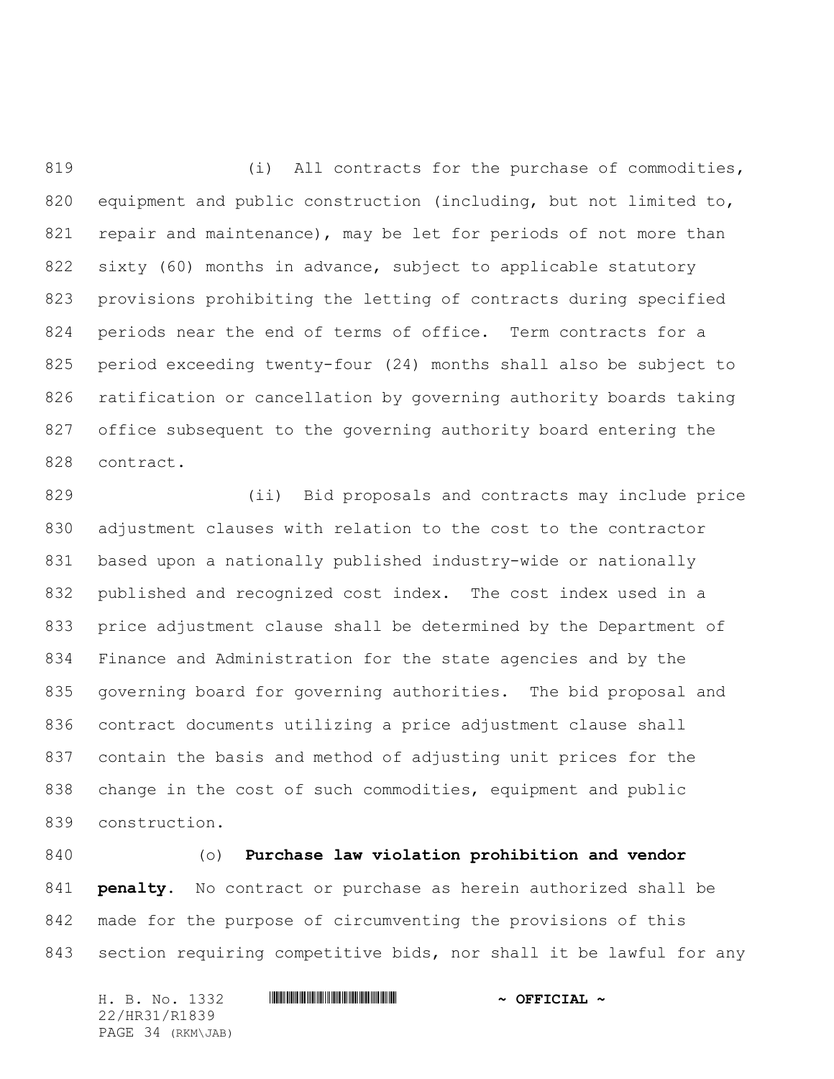819 (i) All contracts for the purchase of commodities, 820 equipment and public construction (including, but not limited to, repair and maintenance), may be let for periods of not more than sixty (60) months in advance, subject to applicable statutory provisions prohibiting the letting of contracts during specified periods near the end of terms of office. Term contracts for a period exceeding twenty-four (24) months shall also be subject to ratification or cancellation by governing authority boards taking office subsequent to the governing authority board entering the contract.

 (ii) Bid proposals and contracts may include price adjustment clauses with relation to the cost to the contractor based upon a nationally published industry-wide or nationally published and recognized cost index. The cost index used in a price adjustment clause shall be determined by the Department of Finance and Administration for the state agencies and by the governing board for governing authorities. The bid proposal and contract documents utilizing a price adjustment clause shall contain the basis and method of adjusting unit prices for the change in the cost of such commodities, equipment and public construction.

 (o) **Purchase law violation prohibition and vendor penalty.** No contract or purchase as herein authorized shall be made for the purpose of circumventing the provisions of this section requiring competitive bids, nor shall it be lawful for any

H. B. No. 1332 **HRIBINING TERMIT AND A OFFICIAL ~** 22/HR31/R1839 PAGE 34 (RKM\JAB)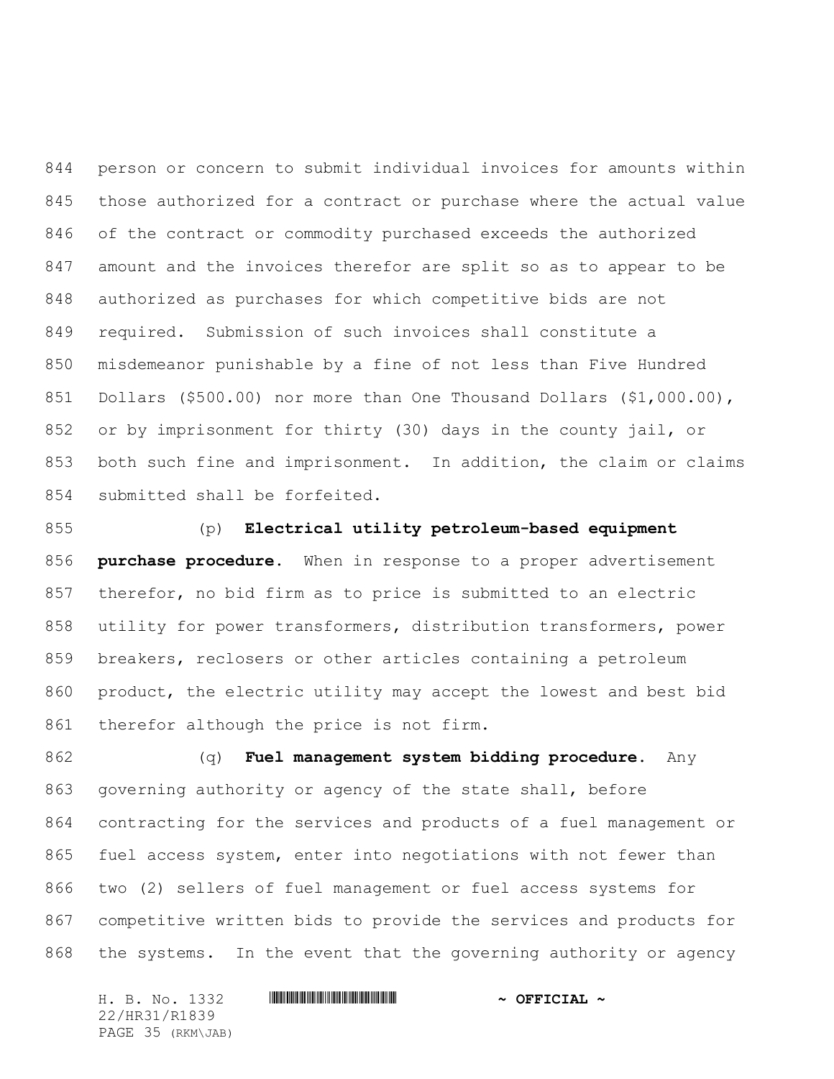person or concern to submit individual invoices for amounts within those authorized for a contract or purchase where the actual value of the contract or commodity purchased exceeds the authorized amount and the invoices therefor are split so as to appear to be authorized as purchases for which competitive bids are not required. Submission of such invoices shall constitute a misdemeanor punishable by a fine of not less than Five Hundred Dollars (\$500.00) nor more than One Thousand Dollars (\$1,000.00), or by imprisonment for thirty (30) days in the county jail, or both such fine and imprisonment. In addition, the claim or claims submitted shall be forfeited.

 (p) **Electrical utility petroleum-based equipment purchase procedure.** When in response to a proper advertisement therefor, no bid firm as to price is submitted to an electric utility for power transformers, distribution transformers, power breakers, reclosers or other articles containing a petroleum product, the electric utility may accept the lowest and best bid 861 therefor although the price is not firm.

 (q) **Fuel management system bidding procedure.** Any governing authority or agency of the state shall, before contracting for the services and products of a fuel management or fuel access system, enter into negotiations with not fewer than two (2) sellers of fuel management or fuel access systems for competitive written bids to provide the services and products for the systems. In the event that the governing authority or agency

H. B. No. 1332 \*HR31/R1839\* **~ OFFICIAL ~** 22/HR31/R1839 PAGE 35 (RKM\JAB)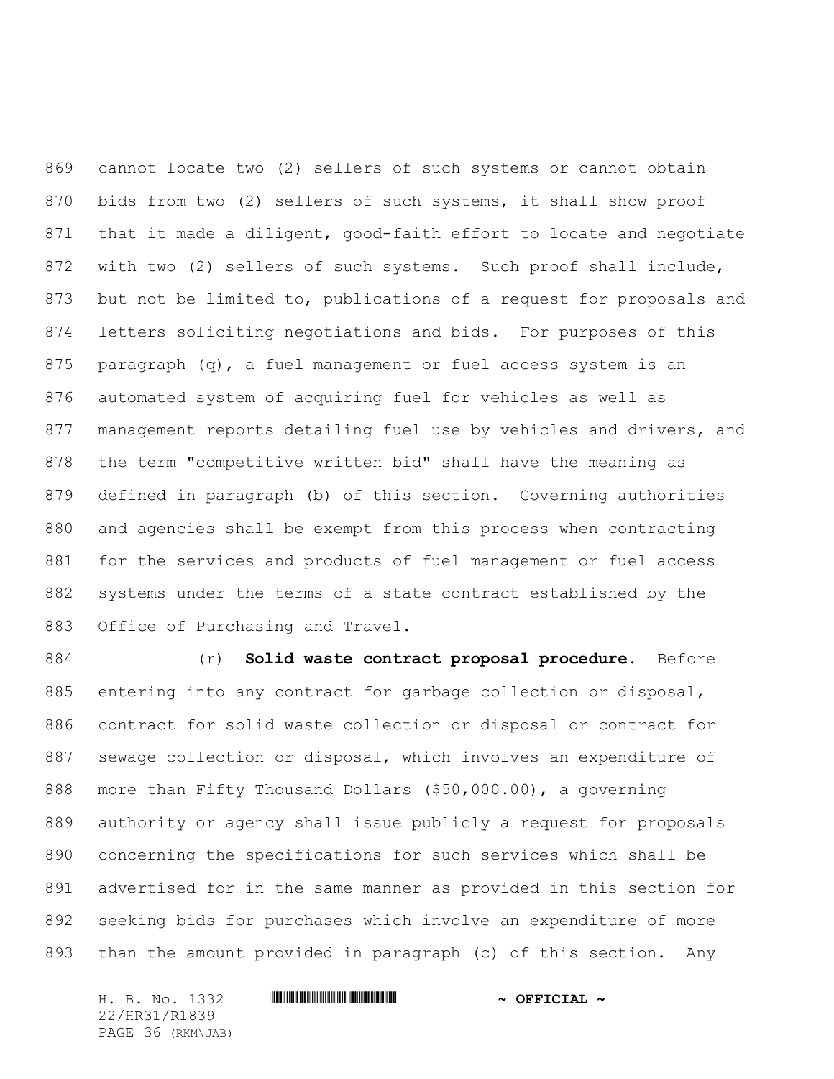cannot locate two (2) sellers of such systems or cannot obtain bids from two (2) sellers of such systems, it shall show proof that it made a diligent, good-faith effort to locate and negotiate with two (2) sellers of such systems. Such proof shall include, but not be limited to, publications of a request for proposals and letters soliciting negotiations and bids. For purposes of this 875 paragraph  $(q)$ , a fuel management or fuel access system is an automated system of acquiring fuel for vehicles as well as management reports detailing fuel use by vehicles and drivers, and the term "competitive written bid" shall have the meaning as defined in paragraph (b) of this section. Governing authorities and agencies shall be exempt from this process when contracting for the services and products of fuel management or fuel access systems under the terms of a state contract established by the Office of Purchasing and Travel.

 (r) **Solid waste contract proposal procedure.** Before entering into any contract for garbage collection or disposal, contract for solid waste collection or disposal or contract for sewage collection or disposal, which involves an expenditure of more than Fifty Thousand Dollars (\$50,000.00), a governing authority or agency shall issue publicly a request for proposals concerning the specifications for such services which shall be advertised for in the same manner as provided in this section for seeking bids for purchases which involve an expenditure of more than the amount provided in paragraph (c) of this section. Any

H. B. No. 1332 **HRIBINING TERMIT AND A OFFICIAL ~** 22/HR31/R1839 PAGE 36 (RKM\JAB)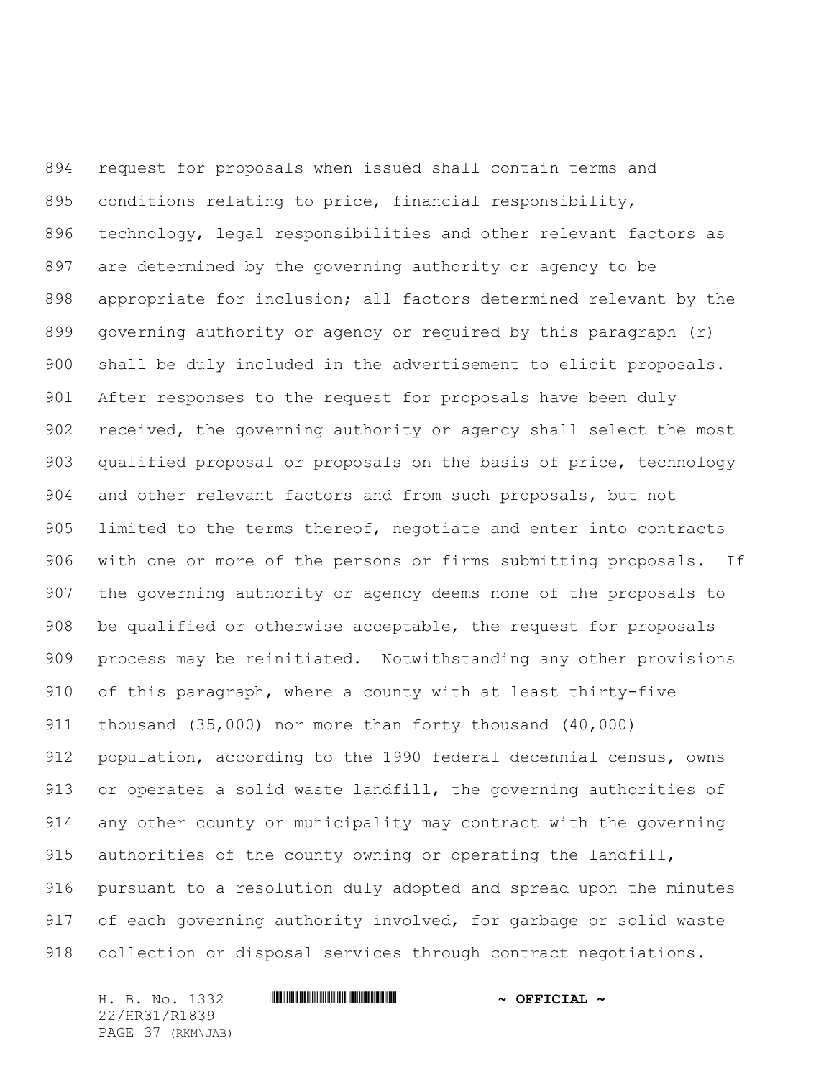request for proposals when issued shall contain terms and conditions relating to price, financial responsibility, technology, legal responsibilities and other relevant factors as are determined by the governing authority or agency to be appropriate for inclusion; all factors determined relevant by the governing authority or agency or required by this paragraph (r) shall be duly included in the advertisement to elicit proposals. After responses to the request for proposals have been duly received, the governing authority or agency shall select the most qualified proposal or proposals on the basis of price, technology and other relevant factors and from such proposals, but not limited to the terms thereof, negotiate and enter into contracts with one or more of the persons or firms submitting proposals. If the governing authority or agency deems none of the proposals to be qualified or otherwise acceptable, the request for proposals process may be reinitiated. Notwithstanding any other provisions of this paragraph, where a county with at least thirty-five thousand (35,000) nor more than forty thousand (40,000) population, according to the 1990 federal decennial census, owns or operates a solid waste landfill, the governing authorities of any other county or municipality may contract with the governing authorities of the county owning or operating the landfill, pursuant to a resolution duly adopted and spread upon the minutes 917 of each governing authority involved, for garbage or solid waste collection or disposal services through contract negotiations.

H. B. No. 1332 **HRIBINING TERMIT AND A OFFICIAL ~** 22/HR31/R1839 PAGE 37 (RKM\JAB)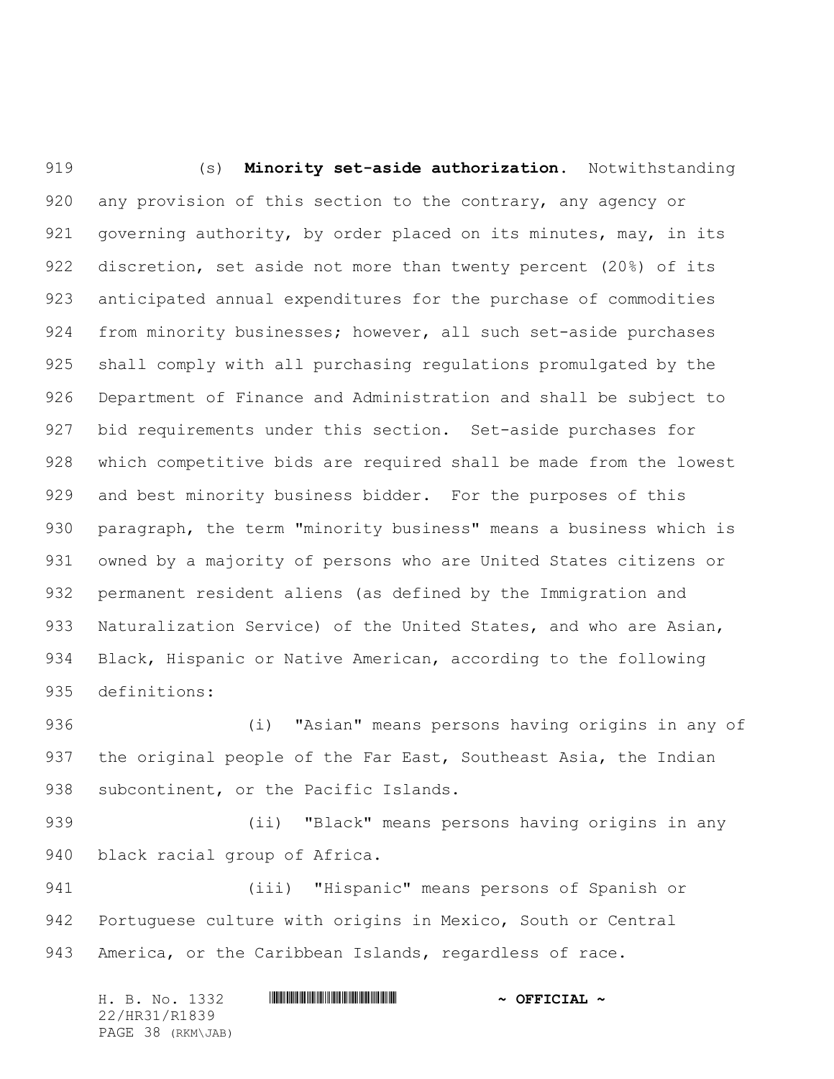(s) **Minority set-aside authorization.** Notwithstanding any provision of this section to the contrary, any agency or 921 governing authority, by order placed on its minutes, may, in its discretion, set aside not more than twenty percent (20%) of its anticipated annual expenditures for the purchase of commodities from minority businesses; however, all such set-aside purchases shall comply with all purchasing regulations promulgated by the Department of Finance and Administration and shall be subject to bid requirements under this section. Set-aside purchases for which competitive bids are required shall be made from the lowest and best minority business bidder. For the purposes of this paragraph, the term "minority business" means a business which is owned by a majority of persons who are United States citizens or permanent resident aliens (as defined by the Immigration and Naturalization Service) of the United States, and who are Asian, Black, Hispanic or Native American, according to the following definitions:

 (i) "Asian" means persons having origins in any of 937 the original people of the Far East, Southeast Asia, the Indian 938 subcontinent, or the Pacific Islands.

 (ii) "Black" means persons having origins in any black racial group of Africa.

 (iii) "Hispanic" means persons of Spanish or Portuguese culture with origins in Mexico, South or Central America, or the Caribbean Islands, regardless of race.

H. B. No. 1332 **HRIBINING TERMIT AND A OFFICIAL ~** 22/HR31/R1839 PAGE 38 (RKM\JAB)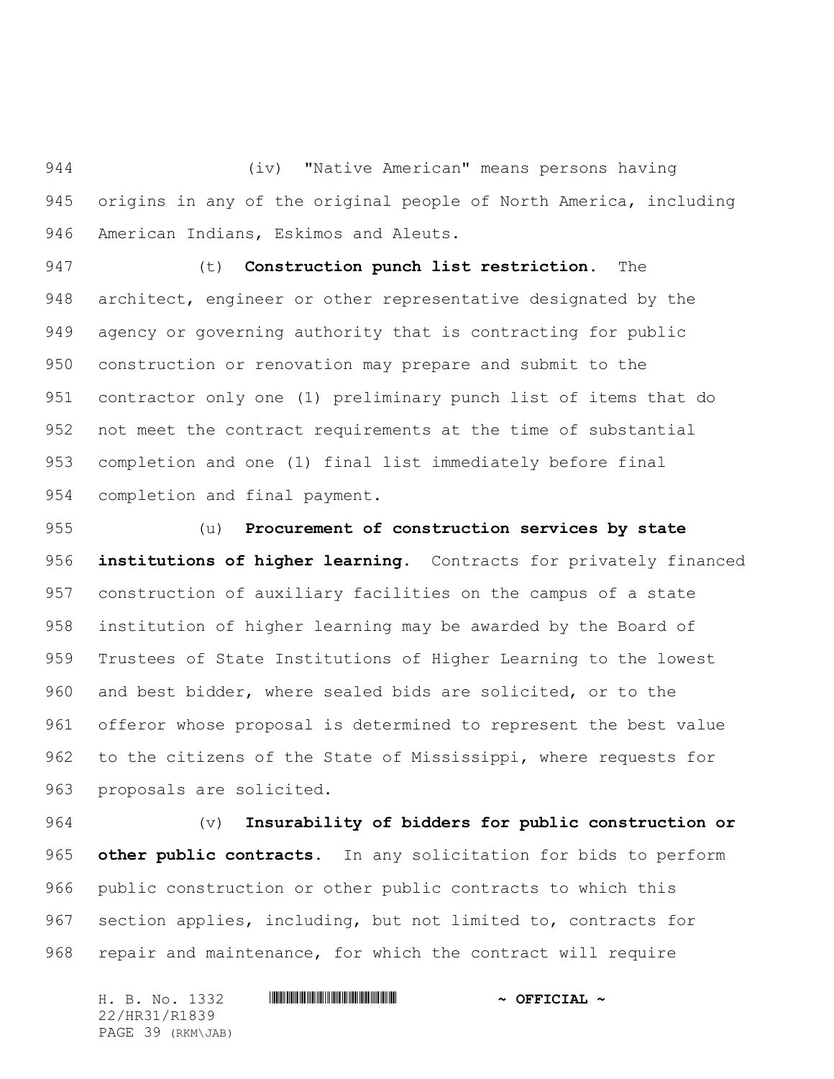(iv) "Native American" means persons having origins in any of the original people of North America, including American Indians, Eskimos and Aleuts.

 (t) **Construction punch list restriction.** The architect, engineer or other representative designated by the agency or governing authority that is contracting for public construction or renovation may prepare and submit to the contractor only one (1) preliminary punch list of items that do not meet the contract requirements at the time of substantial completion and one (1) final list immediately before final completion and final payment.

 (u) **Procurement of construction services by state institutions of higher learning.** Contracts for privately financed construction of auxiliary facilities on the campus of a state institution of higher learning may be awarded by the Board of Trustees of State Institutions of Higher Learning to the lowest and best bidder, where sealed bids are solicited, or to the offeror whose proposal is determined to represent the best value to the citizens of the State of Mississippi, where requests for proposals are solicited.

 (v) **Insurability of bidders for public construction or other public contracts.** In any solicitation for bids to perform public construction or other public contracts to which this section applies, including, but not limited to, contracts for repair and maintenance, for which the contract will require

H. B. No. 1332 **HRIBINING TERMIT AND A OFFICIAL ~** 22/HR31/R1839 PAGE 39 (RKM\JAB)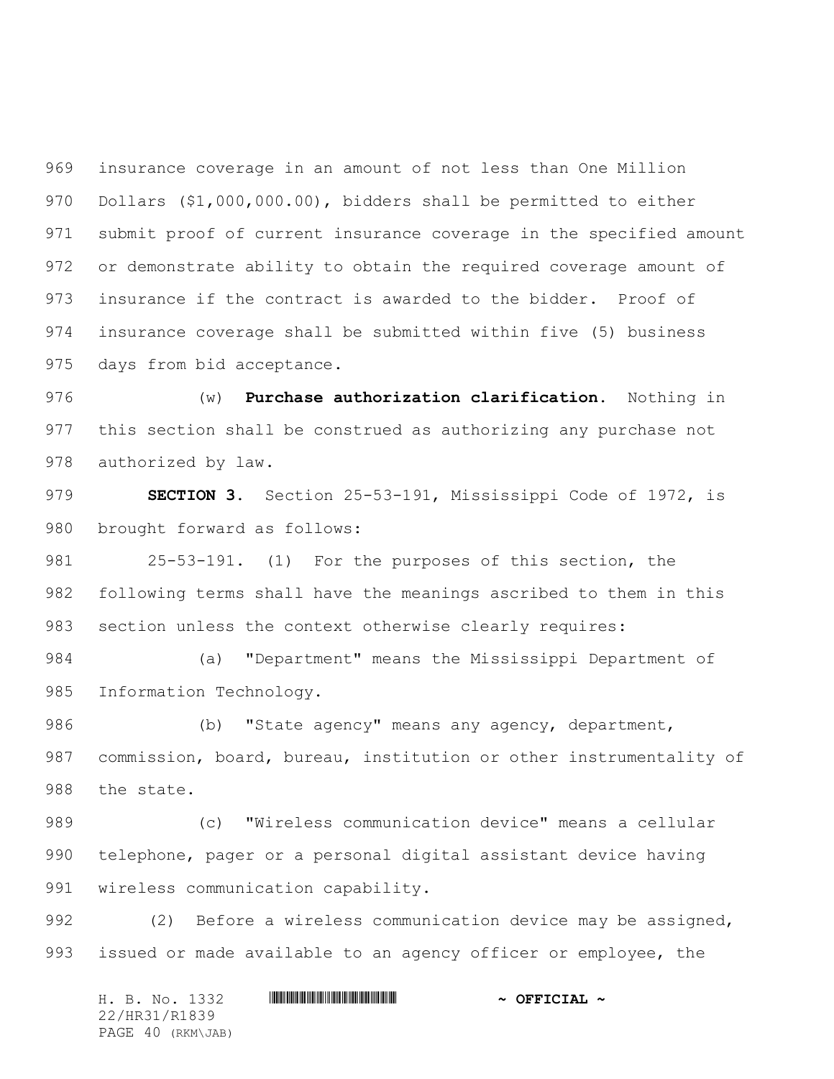insurance coverage in an amount of not less than One Million Dollars (\$1,000,000.00), bidders shall be permitted to either submit proof of current insurance coverage in the specified amount or demonstrate ability to obtain the required coverage amount of insurance if the contract is awarded to the bidder. Proof of insurance coverage shall be submitted within five (5) business days from bid acceptance.

 (w) **Purchase authorization clarification.** Nothing in this section shall be construed as authorizing any purchase not authorized by law.

 **SECTION 3.** Section 25-53-191, Mississippi Code of 1972, is brought forward as follows:

 25-53-191. (1) For the purposes of this section, the following terms shall have the meanings ascribed to them in this section unless the context otherwise clearly requires:

 (a) "Department" means the Mississippi Department of Information Technology.

 (b) "State agency" means any agency, department, commission, board, bureau, institution or other instrumentality of the state.

 (c) "Wireless communication device" means a cellular telephone, pager or a personal digital assistant device having wireless communication capability.

992 (2) Before a wireless communication device may be assigned, issued or made available to an agency officer or employee, the

H. B. No. 1332 **HRIBINING TERMIT AND A OFFICIAL ~** 22/HR31/R1839 PAGE 40 (RKM\JAB)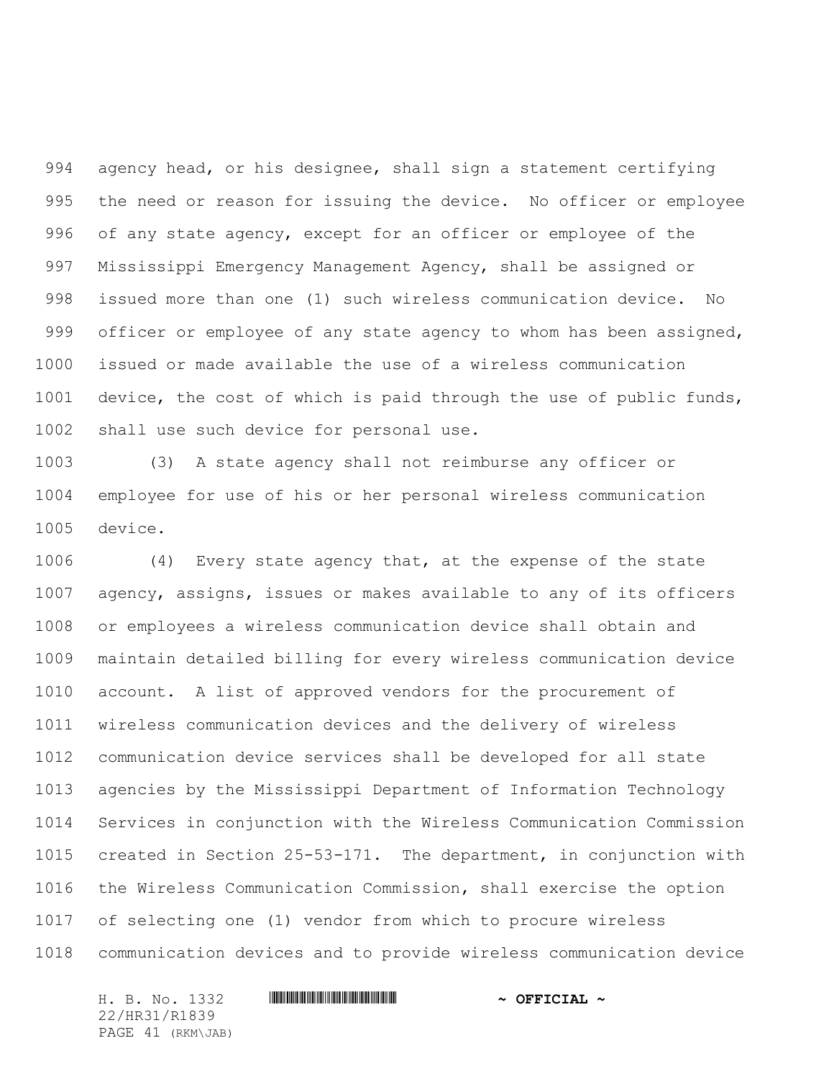agency head, or his designee, shall sign a statement certifying the need or reason for issuing the device. No officer or employee of any state agency, except for an officer or employee of the Mississippi Emergency Management Agency, shall be assigned or issued more than one (1) such wireless communication device. No 999 officer or employee of any state agency to whom has been assigned, issued or made available the use of a wireless communication device, the cost of which is paid through the use of public funds, shall use such device for personal use.

 (3) A state agency shall not reimburse any officer or employee for use of his or her personal wireless communication device.

 (4) Every state agency that, at the expense of the state agency, assigns, issues or makes available to any of its officers or employees a wireless communication device shall obtain and maintain detailed billing for every wireless communication device account. A list of approved vendors for the procurement of wireless communication devices and the delivery of wireless communication device services shall be developed for all state agencies by the Mississippi Department of Information Technology Services in conjunction with the Wireless Communication Commission created in Section 25-53-171. The department, in conjunction with the Wireless Communication Commission, shall exercise the option of selecting one (1) vendor from which to procure wireless communication devices and to provide wireless communication device

H. B. No. 1332 \*HR31/R1839\* **~ OFFICIAL ~** 22/HR31/R1839 PAGE 41 (RKM\JAB)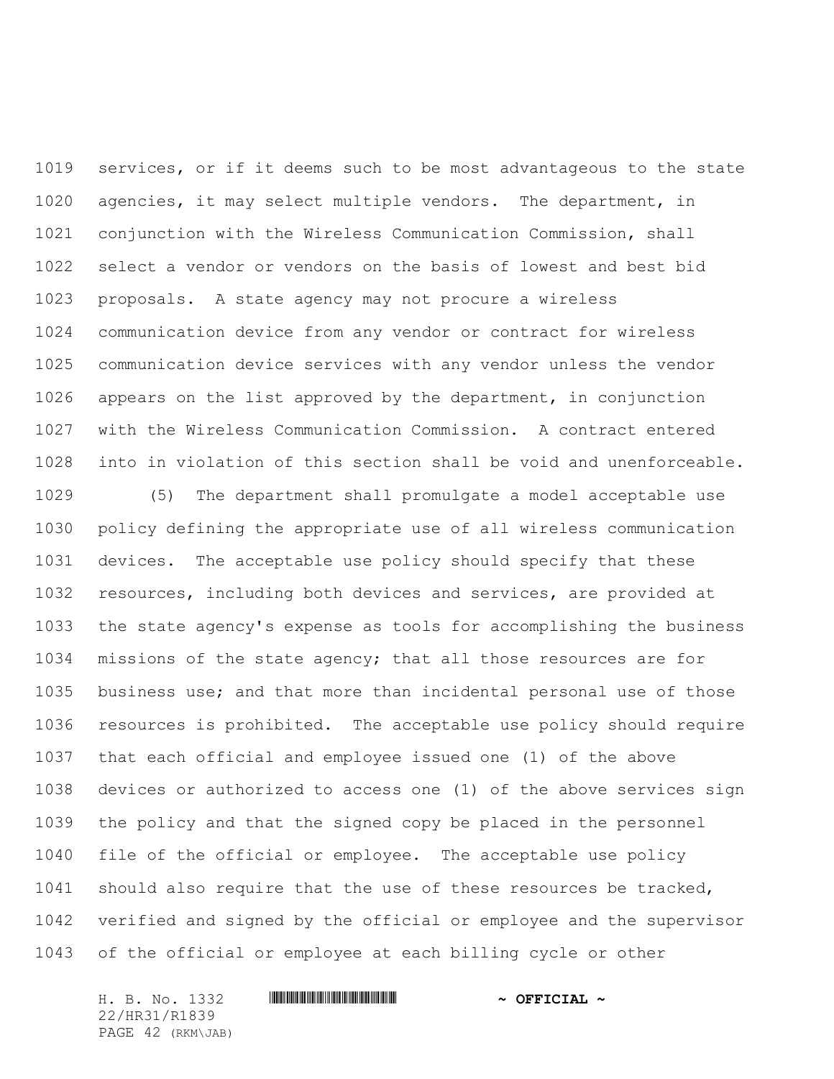services, or if it deems such to be most advantageous to the state agencies, it may select multiple vendors. The department, in conjunction with the Wireless Communication Commission, shall select a vendor or vendors on the basis of lowest and best bid proposals. A state agency may not procure a wireless communication device from any vendor or contract for wireless communication device services with any vendor unless the vendor appears on the list approved by the department, in conjunction with the Wireless Communication Commission. A contract entered into in violation of this section shall be void and unenforceable.

 (5) The department shall promulgate a model acceptable use policy defining the appropriate use of all wireless communication devices. The acceptable use policy should specify that these resources, including both devices and services, are provided at the state agency's expense as tools for accomplishing the business missions of the state agency; that all those resources are for business use; and that more than incidental personal use of those resources is prohibited. The acceptable use policy should require that each official and employee issued one (1) of the above devices or authorized to access one (1) of the above services sign the policy and that the signed copy be placed in the personnel file of the official or employee. The acceptable use policy should also require that the use of these resources be tracked, verified and signed by the official or employee and the supervisor of the official or employee at each billing cycle or other

H. B. No. 1332 \*HR31/R1839\* **~ OFFICIAL ~** 22/HR31/R1839 PAGE 42 (RKM\JAB)